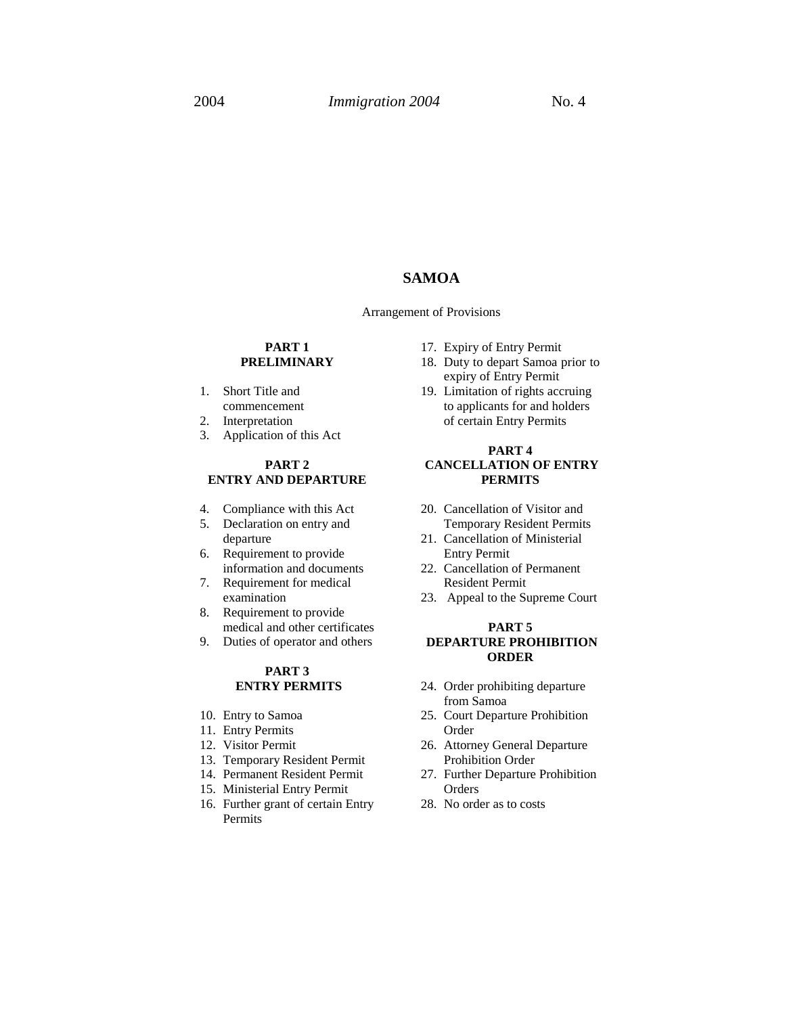## **SAMOA**

#### Arrangement of Provisions

### **PART 1 PRELIMINARY**

- 1. Short Title and commencement
- 2. Interpretation
- 3. Application of this Act

### **PART 2 ENTRY AND DEPARTURE**

- 4. Compliance with this Act
- 5. Declaration on entry and departure
- 6. Requirement to provide information and documents
- 7. Requirement for medical examination
- 8. Requirement to provide medical and other certificates
- 9. Duties of operator and others

#### **PART 3 ENTRY PERMITS**

- 10. Entry to Samoa
- 11. Entry Permits
- 12. Visitor Permit
- 13. Temporary Resident Permit
- 14. Permanent Resident Permit
- 15. Ministerial Entry Permit
- 16. Further grant of certain Entry Permits
- 17. Expiry of Entry Permit
- 18. Duty to depart Samoa prior to expiry of Entry Permit
- 19. Limitation of rights accruing to applicants for and holders of certain Entry Permits

### **PART 4 CANCELLATION OF ENTRY PERMITS**

- 20. Cancellation of Visitor and Temporary Resident Permits
- 21. Cancellation of Ministerial Entry Permit
- 22. Cancellation of Permanent Resident Permit
- 23. Appeal to the Supreme Court

### **PART 5 DEPARTURE PROHIBITION ORDER**

- 24. Order prohibiting departure from Samoa
- 25. Court Departure Prohibition Order
- 26. Attorney General Departure Prohibition Order
- 27. Further Departure Prohibition **Orders**
- 28. No order as to costs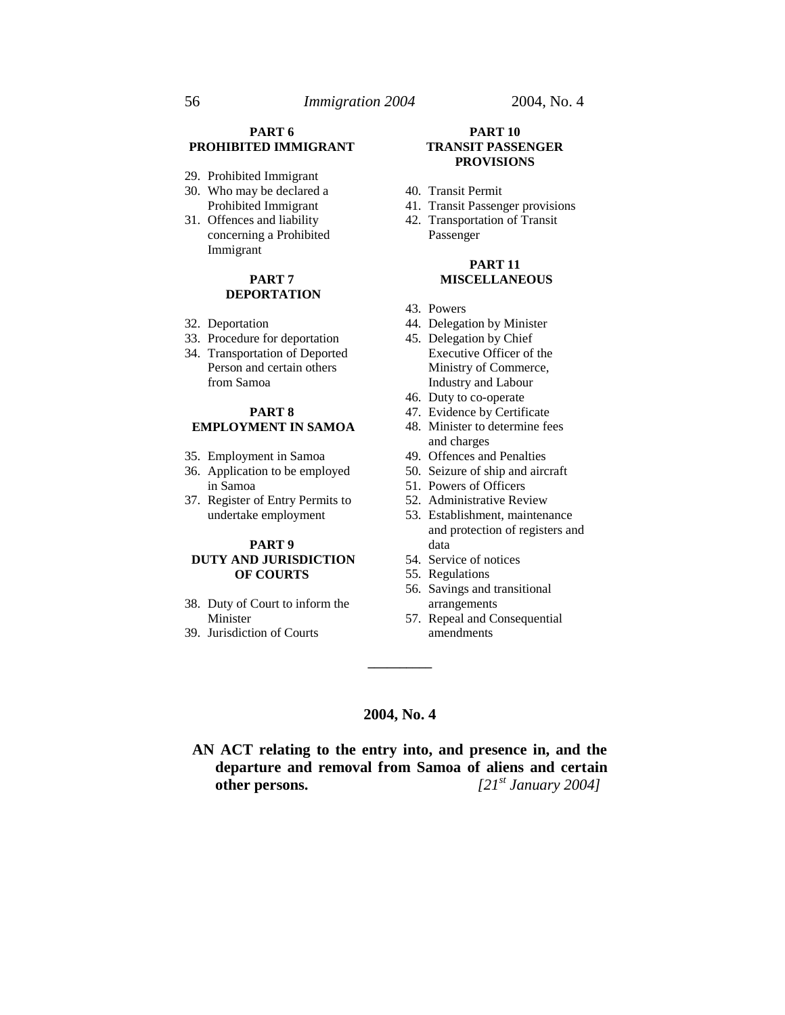### **PART 6 PROHIBITED IMMIGRANT**

- 29. Prohibited Immigrant
- 30. Who may be declared a Prohibited Immigrant
- 31. Offences and liability concerning a Prohibited Immigrant

### **PART 7 DEPORTATION**

- 32. Deportation
- 33. Procedure for deportation
- 34. Transportation of Deported Person and certain others from Samoa

### **PART 8 EMPLOYMENT IN SAMOA**

- 35. Employment in Samoa
- 36. Application to be employed in Samoa
- 37. Register of Entry Permits to undertake employment

#### **PART 9 DUTY AND JURISDICTION OF COURTS**

- 38. Duty of Court to inform the Minister
- 39. Jurisdiction of Courts

#### **PART 10 TRANSIT PASSENGER PROVISIONS**

- 40. Transit Permit
- 41. Transit Passenger provisions
- 42. Transportation of Transit Passenger

#### **PART 11 MISCELLANEOUS**

- 43. Powers
- 44. Delegation by Minister
- 45. Delegation by Chief Executive Officer of the Ministry of Commerce, Industry and Labour
- 46. Duty to co-operate
- 47. Evidence by Certificate
- 48. Minister to determine fees and charges
- 49. Offences and Penalties
- 50. Seizure of ship and aircraft
- 51. Powers of Officers
- 52. Administrative Review
- 53. Establishment, maintenance and protection of registers and data
- 54. Service of notices
- 55. Regulations
- 56. Savings and transitional arrangements
- 57. Repeal and Consequential amendments

### **2004, No. 4**

**\_\_\_\_\_\_\_\_\_\_**

**AN ACT relating to the entry into, and presence in, and the departure and removal from Samoa of aliens and certain other persons.**  $[21^{st} January 2004]$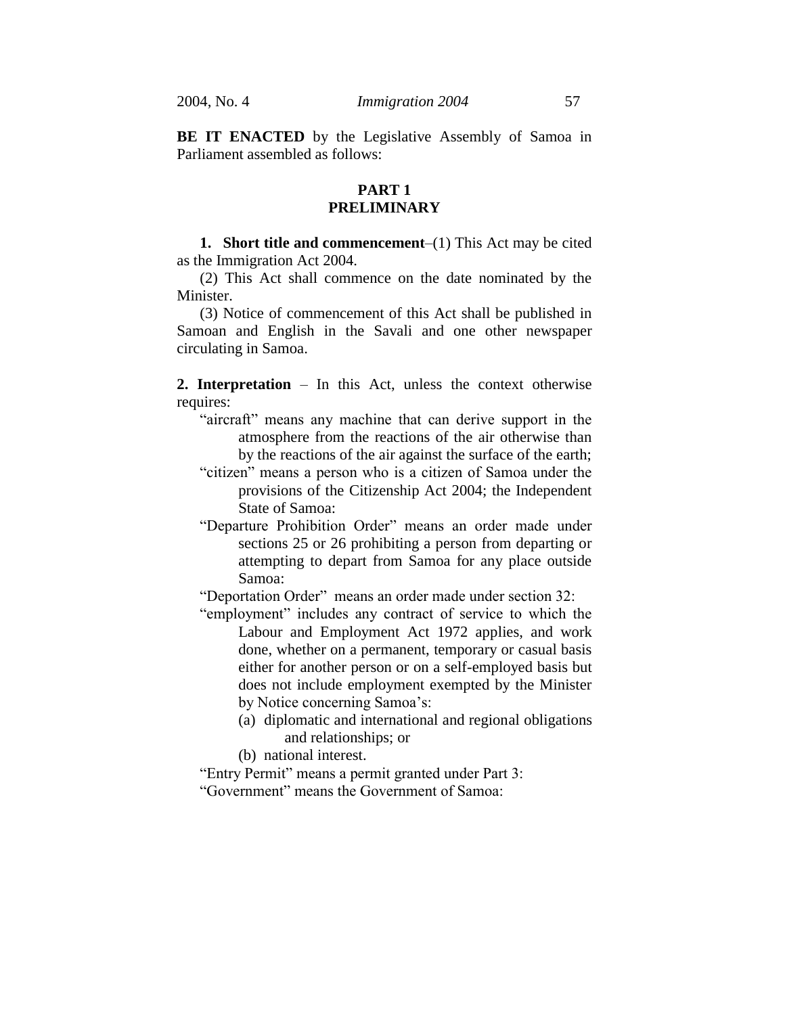**BE IT ENACTED** by the Legislative Assembly of Samoa in Parliament assembled as follows:

## **PART 1 PRELIMINARY**

**1. Short title and commencement**–(1) This Act may be cited as the Immigration Act 2004.

(2) This Act shall commence on the date nominated by the Minister.

(3) Notice of commencement of this Act shall be published in Samoan and English in the Savali and one other newspaper circulating in Samoa.

**2. Interpretation** – In this Act, unless the context otherwise requires:

- "aircraft" means any machine that can derive support in the atmosphere from the reactions of the air otherwise than by the reactions of the air against the surface of the earth;
- "citizen" means a person who is a citizen of Samoa under the provisions of the Citizenship Act 2004; the Independent State of Samoa:
- "Departure Prohibition Order" means an order made under sections 25 or 26 prohibiting a person from departing or attempting to depart from Samoa for any place outside Samoa:

"Deportation Order" means an order made under section 32:

- "employment" includes any contract of service to which the Labour and Employment Act 1972 applies, and work done, whether on a permanent, temporary or casual basis either for another person or on a self-employed basis but does not include employment exempted by the Minister by Notice concerning Samoa's:
	- (a) diplomatic and international and regional obligations and relationships; or
	- (b) national interest.

"Entry Permit" means a permit granted under Part 3:

"Government" means the Government of Samoa: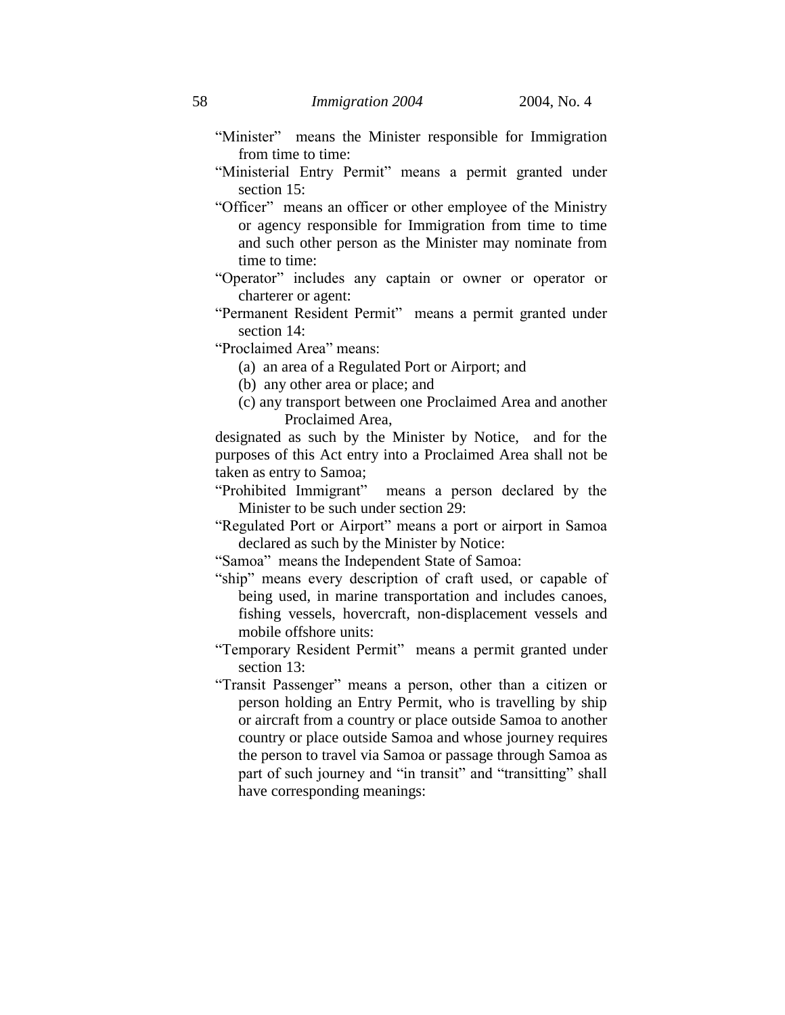- "Minister" means the Minister responsible for Immigration from time to time:
- "Ministerial Entry Permit" means a permit granted under section 15:
- "Officer" means an officer or other employee of the Ministry or agency responsible for Immigration from time to time and such other person as the Minister may nominate from time to time:
- "Operator" includes any captain or owner or operator or charterer or agent:
- "Permanent Resident Permit" means a permit granted under section 14:
- "Proclaimed Area" means:
	- (a) an area of a Regulated Port or Airport; and
	- (b) any other area or place; and
	- (c) any transport between one Proclaimed Area and another Proclaimed Area,

designated as such by the Minister by Notice, and for the purposes of this Act entry into a Proclaimed Area shall not be taken as entry to Samoa;

- "Prohibited Immigrant" means a person declared by the Minister to be such under section 29:
- "Regulated Port or Airport" means a port or airport in Samoa declared as such by the Minister by Notice:

"Samoa" means the Independent State of Samoa:

- "ship" means every description of craft used, or capable of being used, in marine transportation and includes canoes, fishing vessels, hovercraft, non-displacement vessels and mobile offshore units:
- "Temporary Resident Permit" means a permit granted under section 13:
- "Transit Passenger" means a person, other than a citizen or person holding an Entry Permit, who is travelling by ship or aircraft from a country or place outside Samoa to another country or place outside Samoa and whose journey requires the person to travel via Samoa or passage through Samoa as part of such journey and "in transit" and "transitting" shall have corresponding meanings: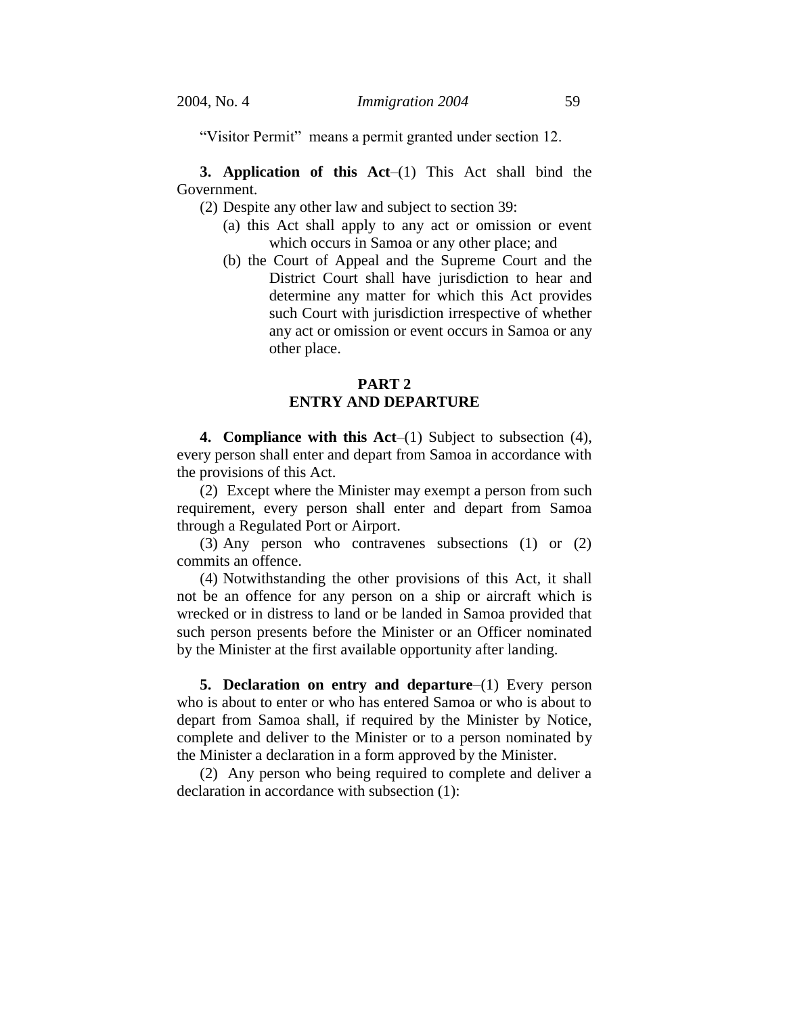"Visitor Permit" means a permit granted under section 12.

**3. Application of this Act**–(1) This Act shall bind the Government.

(2) Despite any other law and subject to section 39:

- (a) this Act shall apply to any act or omission or event which occurs in Samoa or any other place; and
- (b) the Court of Appeal and the Supreme Court and the District Court shall have jurisdiction to hear and determine any matter for which this Act provides such Court with jurisdiction irrespective of whether any act or omission or event occurs in Samoa or any other place.

# **PART 2 ENTRY AND DEPARTURE**

**4. Compliance with this Act**–(1) Subject to subsection (4), every person shall enter and depart from Samoa in accordance with the provisions of this Act.

(2) Except where the Minister may exempt a person from such requirement, every person shall enter and depart from Samoa through a Regulated Port or Airport.

(3) Any person who contravenes subsections (1) or (2) commits an offence.

(4) Notwithstanding the other provisions of this Act, it shall not be an offence for any person on a ship or aircraft which is wrecked or in distress to land or be landed in Samoa provided that such person presents before the Minister or an Officer nominated by the Minister at the first available opportunity after landing.

**5. Declaration on entry and departure**–(1) Every person who is about to enter or who has entered Samoa or who is about to depart from Samoa shall, if required by the Minister by Notice, complete and deliver to the Minister or to a person nominated by the Minister a declaration in a form approved by the Minister.

(2) Any person who being required to complete and deliver a declaration in accordance with subsection (1):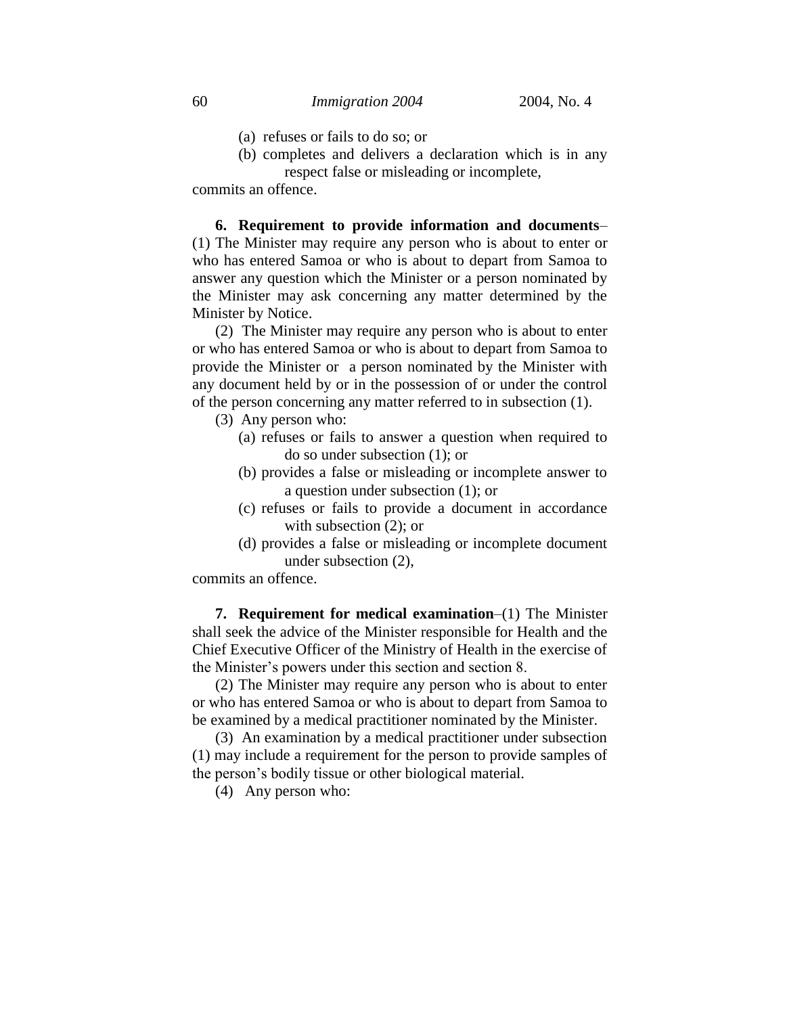- (a) refuses or fails to do so; or
- (b) completes and delivers a declaration which is in any respect false or misleading or incomplete,

commits an offence.

**6. Requirement to provide information and documents**– (1) The Minister may require any person who is about to enter or who has entered Samoa or who is about to depart from Samoa to answer any question which the Minister or a person nominated by the Minister may ask concerning any matter determined by the Minister by Notice.

(2) The Minister may require any person who is about to enter or who has entered Samoa or who is about to depart from Samoa to provide the Minister or a person nominated by the Minister with any document held by or in the possession of or under the control of the person concerning any matter referred to in subsection (1).

- (3) Any person who:
	- (a) refuses or fails to answer a question when required to do so under subsection (1); or
	- (b) provides a false or misleading or incomplete answer to a question under subsection (1); or
	- (c) refuses or fails to provide a document in accordance with subsection  $(2)$ ; or
	- (d) provides a false or misleading or incomplete document under subsection (2),

commits an offence.

**7. Requirement for medical examination**–(1) The Minister shall seek the advice of the Minister responsible for Health and the Chief Executive Officer of the Ministry of Health in the exercise of the Minister's powers under this section and section 8.

(2) The Minister may require any person who is about to enter or who has entered Samoa or who is about to depart from Samoa to be examined by a medical practitioner nominated by the Minister.

(3) An examination by a medical practitioner under subsection (1) may include a requirement for the person to provide samples of the person's bodily tissue or other biological material.

(4) Any person who: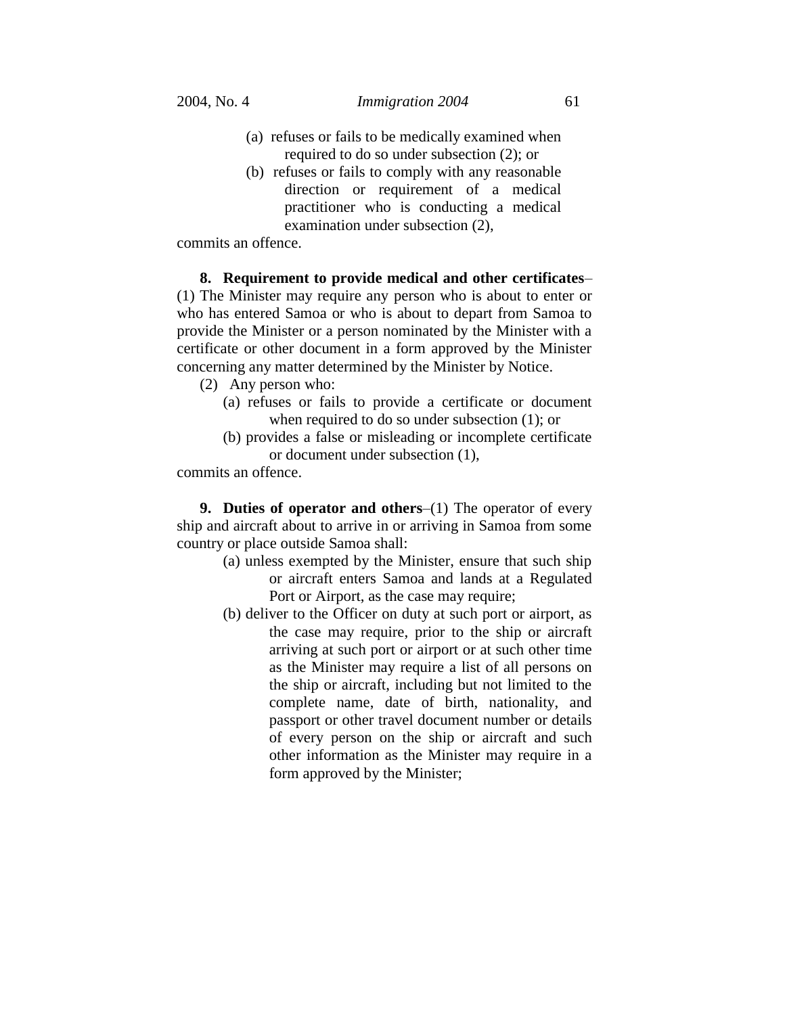- (a) refuses or fails to be medically examined when required to do so under subsection (2); or
- (b) refuses or fails to comply with any reasonable direction or requirement of a medical practitioner who is conducting a medical examination under subsection (2),

commits an offence.

**8. Requirement to provide medical and other certificates**– (1) The Minister may require any person who is about to enter or who has entered Samoa or who is about to depart from Samoa to provide the Minister or a person nominated by the Minister with a certificate or other document in a form approved by the Minister concerning any matter determined by the Minister by Notice.

- (2) Any person who:
	- (a) refuses or fails to provide a certificate or document when required to do so under subsection (1); or
	- (b) provides a false or misleading or incomplete certificate or document under subsection (1),

commits an offence.

**9. Duties of operator and others**–(1) The operator of every ship and aircraft about to arrive in or arriving in Samoa from some country or place outside Samoa shall:

- (a) unless exempted by the Minister, ensure that such ship or aircraft enters Samoa and lands at a Regulated Port or Airport, as the case may require;
- (b) deliver to the Officer on duty at such port or airport, as the case may require, prior to the ship or aircraft arriving at such port or airport or at such other time as the Minister may require a list of all persons on the ship or aircraft, including but not limited to the complete name, date of birth, nationality, and passport or other travel document number or details of every person on the ship or aircraft and such other information as the Minister may require in a form approved by the Minister;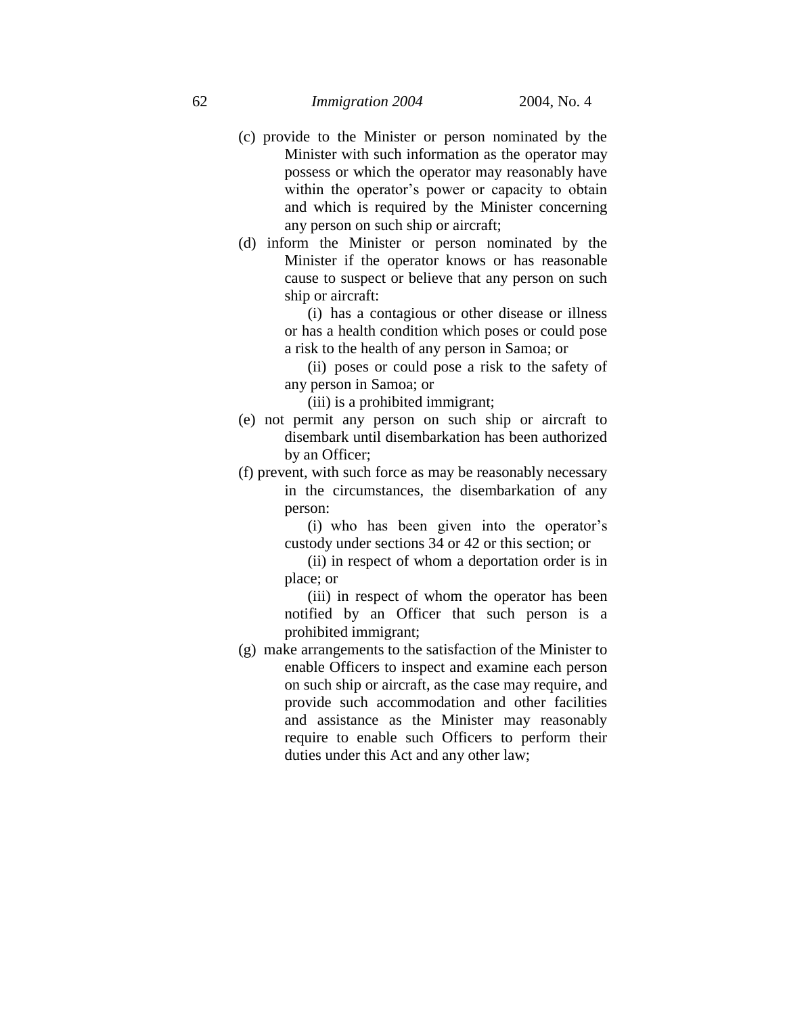- (c) provide to the Minister or person nominated by the Minister with such information as the operator may possess or which the operator may reasonably have within the operator's power or capacity to obtain and which is required by the Minister concerning any person on such ship or aircraft;
- (d) inform the Minister or person nominated by the Minister if the operator knows or has reasonable cause to suspect or believe that any person on such ship or aircraft:

(i) has a contagious or other disease or illness or has a health condition which poses or could pose a risk to the health of any person in Samoa; or

(ii) poses or could pose a risk to the safety of any person in Samoa; or

(iii) is a prohibited immigrant;

- (e) not permit any person on such ship or aircraft to disembark until disembarkation has been authorized by an Officer;
- (f) prevent, with such force as may be reasonably necessary in the circumstances, the disembarkation of any person:

(i) who has been given into the operator's custody under sections 34 or 42 or this section; or

(ii) in respect of whom a deportation order is in place; or

(iii) in respect of whom the operator has been notified by an Officer that such person is a prohibited immigrant;

(g) make arrangements to the satisfaction of the Minister to enable Officers to inspect and examine each person on such ship or aircraft, as the case may require, and provide such accommodation and other facilities and assistance as the Minister may reasonably require to enable such Officers to perform their duties under this Act and any other law;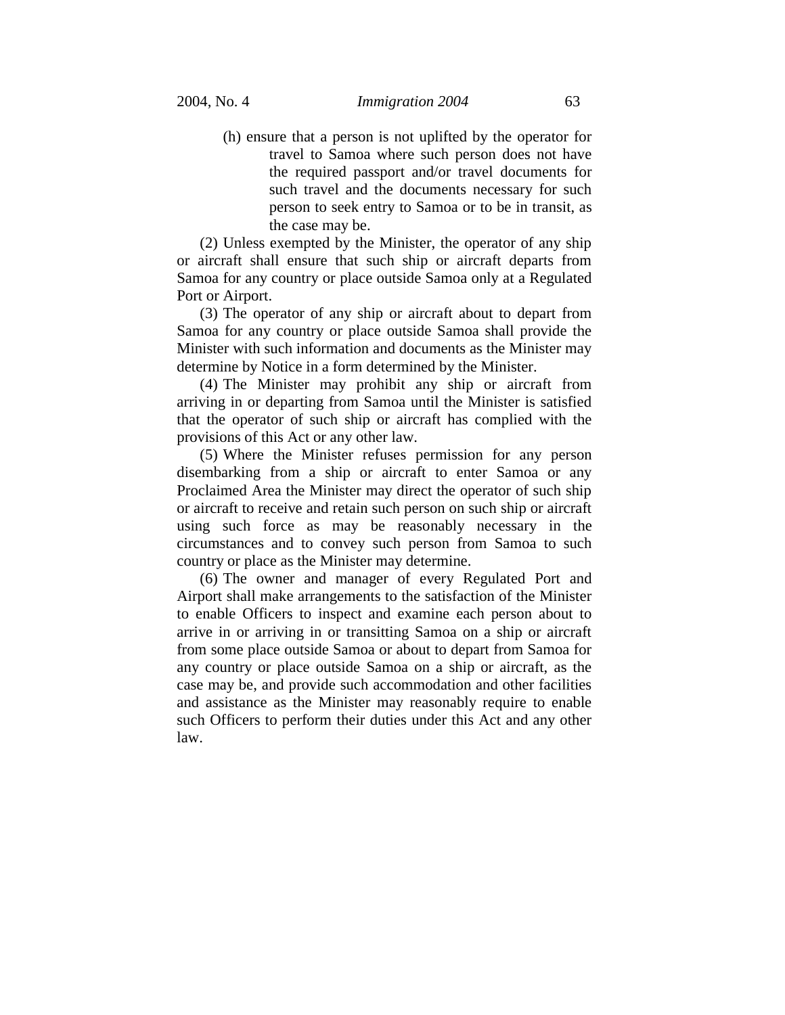(h) ensure that a person is not uplifted by the operator for travel to Samoa where such person does not have the required passport and/or travel documents for such travel and the documents necessary for such person to seek entry to Samoa or to be in transit, as the case may be.

(2) Unless exempted by the Minister, the operator of any ship or aircraft shall ensure that such ship or aircraft departs from Samoa for any country or place outside Samoa only at a Regulated Port or Airport.

(3) The operator of any ship or aircraft about to depart from Samoa for any country or place outside Samoa shall provide the Minister with such information and documents as the Minister may determine by Notice in a form determined by the Minister.

(4) The Minister may prohibit any ship or aircraft from arriving in or departing from Samoa until the Minister is satisfied that the operator of such ship or aircraft has complied with the provisions of this Act or any other law.

(5) Where the Minister refuses permission for any person disembarking from a ship or aircraft to enter Samoa or any Proclaimed Area the Minister may direct the operator of such ship or aircraft to receive and retain such person on such ship or aircraft using such force as may be reasonably necessary in the circumstances and to convey such person from Samoa to such country or place as the Minister may determine.

(6) The owner and manager of every Regulated Port and Airport shall make arrangements to the satisfaction of the Minister to enable Officers to inspect and examine each person about to arrive in or arriving in or transitting Samoa on a ship or aircraft from some place outside Samoa or about to depart from Samoa for any country or place outside Samoa on a ship or aircraft, as the case may be, and provide such accommodation and other facilities and assistance as the Minister may reasonably require to enable such Officers to perform their duties under this Act and any other law.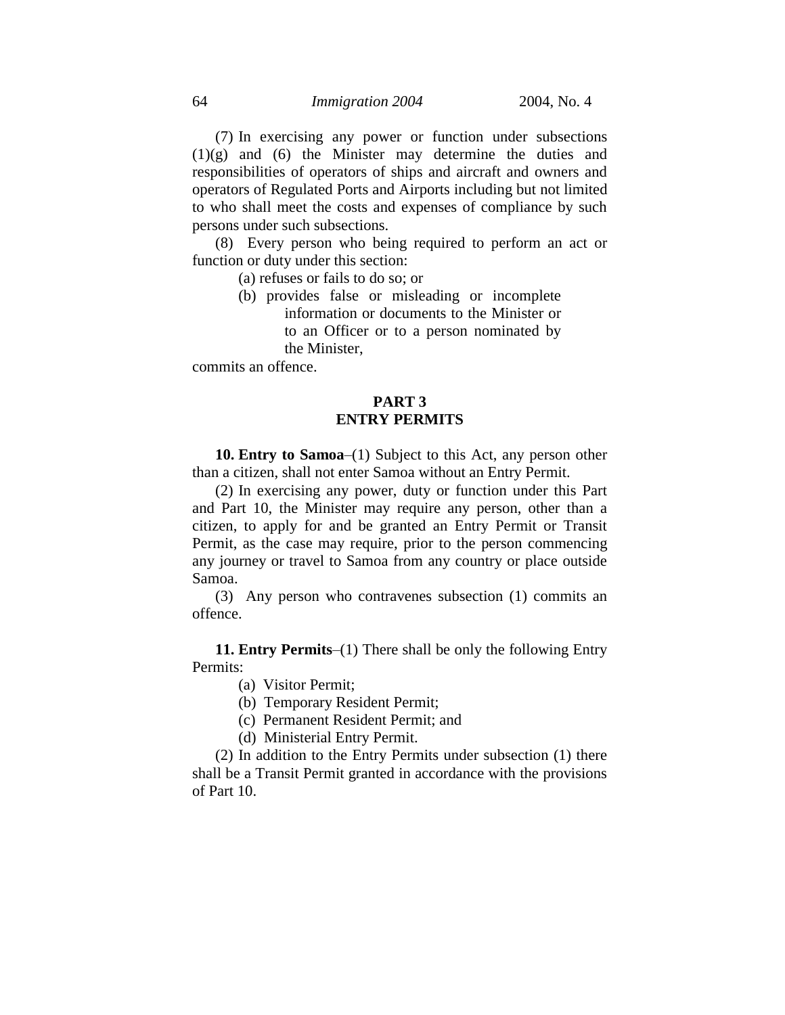(7) In exercising any power or function under subsections (1)(g) and (6) the Minister may determine the duties and responsibilities of operators of ships and aircraft and owners and operators of Regulated Ports and Airports including but not limited to who shall meet the costs and expenses of compliance by such persons under such subsections.

(8) Every person who being required to perform an act or function or duty under this section:

(a) refuses or fails to do so; or

(b) provides false or misleading or incomplete information or documents to the Minister or to an Officer or to a person nominated by the Minister,

commits an offence.

# **PART 3 ENTRY PERMITS**

**10. Entry to Samoa**–(1) Subject to this Act, any person other than a citizen, shall not enter Samoa without an Entry Permit.

(2) In exercising any power, duty or function under this Part and Part 10, the Minister may require any person, other than a citizen, to apply for and be granted an Entry Permit or Transit Permit, as the case may require, prior to the person commencing any journey or travel to Samoa from any country or place outside Samoa.

(3) Any person who contravenes subsection (1) commits an offence.

**11. Entry Permits**–(1) There shall be only the following Entry Permits:

(a) Visitor Permit;

(b) Temporary Resident Permit;

(c) Permanent Resident Permit; and

(d) Ministerial Entry Permit.

(2) In addition to the Entry Permits under subsection (1) there shall be a Transit Permit granted in accordance with the provisions of Part 10.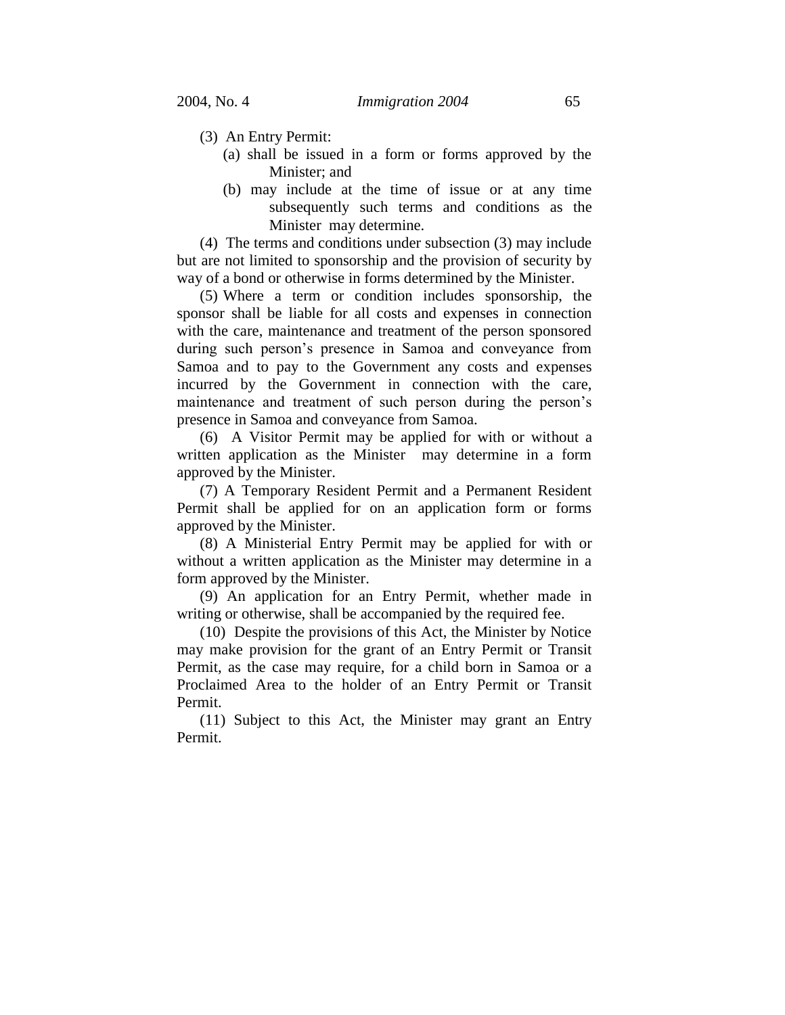- (3) An Entry Permit:
	- (a) shall be issued in a form or forms approved by the Minister; and
	- (b) may include at the time of issue or at any time subsequently such terms and conditions as the Minister may determine.

(4) The terms and conditions under subsection (3) may include but are not limited to sponsorship and the provision of security by way of a bond or otherwise in forms determined by the Minister.

(5) Where a term or condition includes sponsorship, the sponsor shall be liable for all costs and expenses in connection with the care, maintenance and treatment of the person sponsored during such person's presence in Samoa and conveyance from Samoa and to pay to the Government any costs and expenses incurred by the Government in connection with the care, maintenance and treatment of such person during the person's presence in Samoa and conveyance from Samoa.

(6) A Visitor Permit may be applied for with or without a written application as the Minister may determine in a form approved by the Minister.

(7) A Temporary Resident Permit and a Permanent Resident Permit shall be applied for on an application form or forms approved by the Minister.

(8) A Ministerial Entry Permit may be applied for with or without a written application as the Minister may determine in a form approved by the Minister.

(9) An application for an Entry Permit, whether made in writing or otherwise, shall be accompanied by the required fee.

(10) Despite the provisions of this Act, the Minister by Notice may make provision for the grant of an Entry Permit or Transit Permit, as the case may require, for a child born in Samoa or a Proclaimed Area to the holder of an Entry Permit or Transit Permit.

(11) Subject to this Act, the Minister may grant an Entry Permit.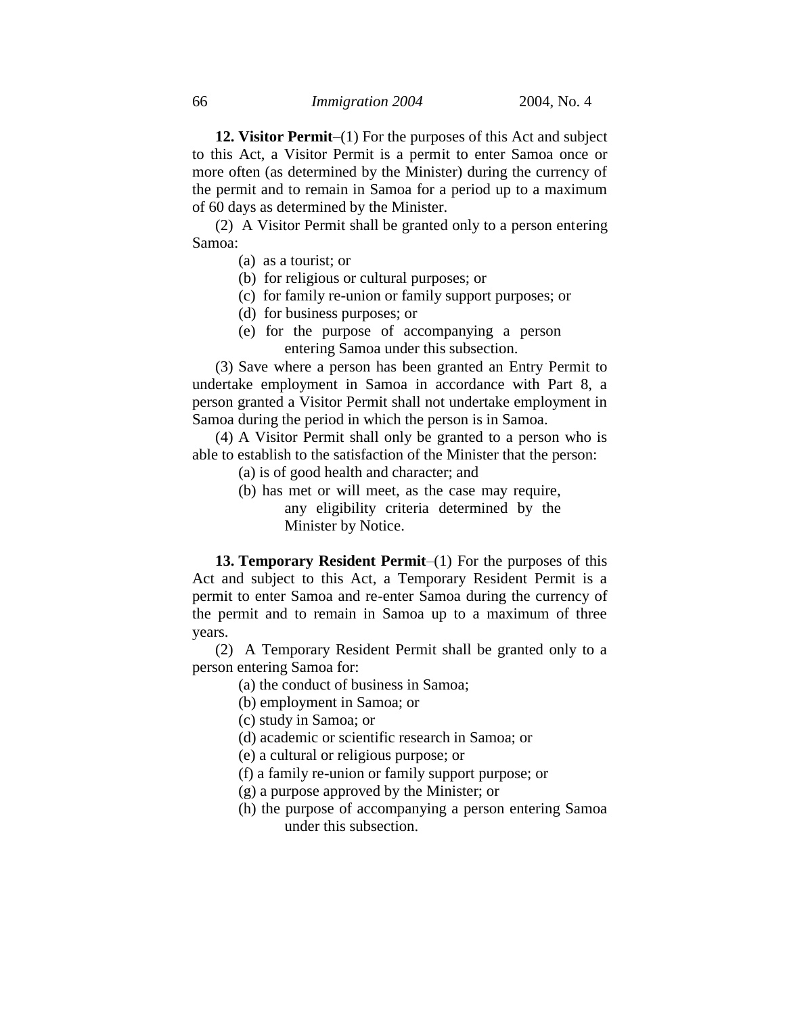**12. Visitor Permit**–(1) For the purposes of this Act and subject to this Act, a Visitor Permit is a permit to enter Samoa once or more often (as determined by the Minister) during the currency of the permit and to remain in Samoa for a period up to a maximum of 60 days as determined by the Minister.

(2) A Visitor Permit shall be granted only to a person entering Samoa:

(a) as a tourist; or

(b) for religious or cultural purposes; or

- (c) for family re-union or family support purposes; or
- (d) for business purposes; or
- (e) for the purpose of accompanying a person entering Samoa under this subsection.

(3) Save where a person has been granted an Entry Permit to undertake employment in Samoa in accordance with Part 8, a person granted a Visitor Permit shall not undertake employment in Samoa during the period in which the person is in Samoa.

(4) A Visitor Permit shall only be granted to a person who is able to establish to the satisfaction of the Minister that the person:

- (a) is of good health and character; and
- (b) has met or will meet, as the case may require, any eligibility criteria determined by the Minister by Notice.

**13. Temporary Resident Permit**–(1) For the purposes of this Act and subject to this Act, a Temporary Resident Permit is a permit to enter Samoa and re-enter Samoa during the currency of the permit and to remain in Samoa up to a maximum of three years.

(2) A Temporary Resident Permit shall be granted only to a person entering Samoa for:

- (a) the conduct of business in Samoa;
- (b) employment in Samoa; or

(c) study in Samoa; or

- (d) academic or scientific research in Samoa; or
- (e) a cultural or religious purpose; or
- (f) a family re-union or family support purpose; or
- (g) a purpose approved by the Minister; or
- (h) the purpose of accompanying a person entering Samoa under this subsection.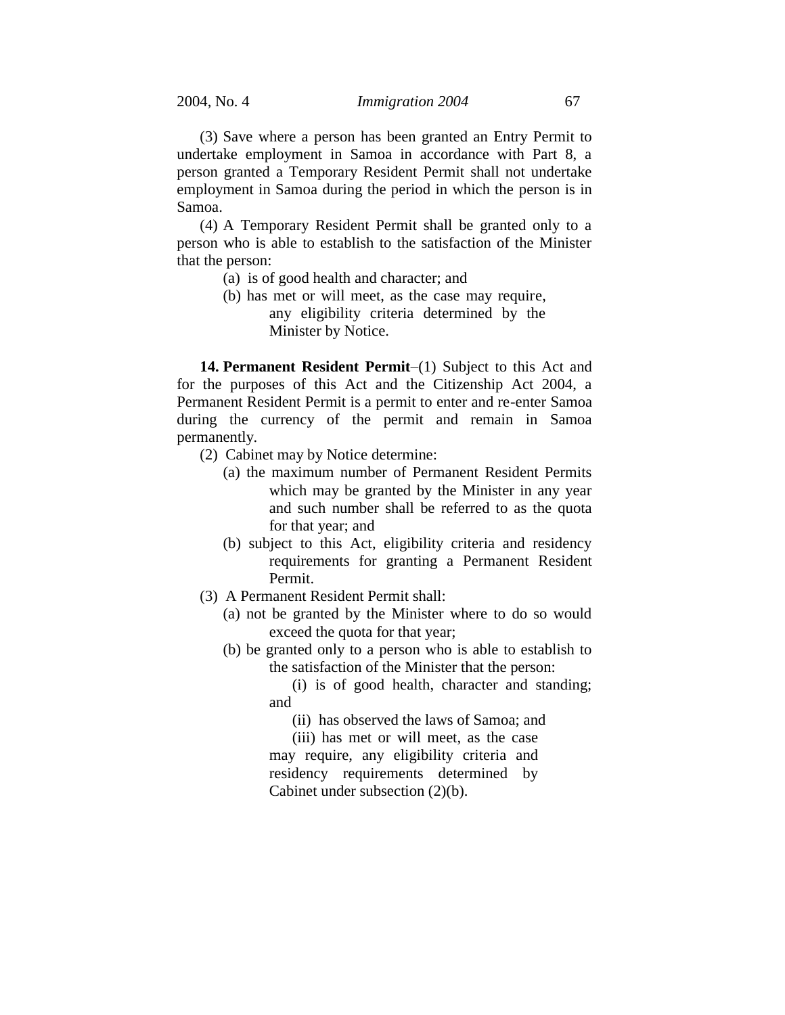(3) Save where a person has been granted an Entry Permit to undertake employment in Samoa in accordance with Part 8, a person granted a Temporary Resident Permit shall not undertake employment in Samoa during the period in which the person is in Samoa.

(4) A Temporary Resident Permit shall be granted only to a person who is able to establish to the satisfaction of the Minister that the person:

- (a) is of good health and character; and
- (b) has met or will meet, as the case may require, any eligibility criteria determined by the Minister by Notice.

**14. Permanent Resident Permit**–(1) Subject to this Act and for the purposes of this Act and the Citizenship Act 2004, a Permanent Resident Permit is a permit to enter and re-enter Samoa during the currency of the permit and remain in Samoa permanently.

- (2) Cabinet may by Notice determine:
	- (a) the maximum number of Permanent Resident Permits which may be granted by the Minister in any year and such number shall be referred to as the quota for that year; and
	- (b) subject to this Act, eligibility criteria and residency requirements for granting a Permanent Resident Permit.
- (3) A Permanent Resident Permit shall:
	- (a) not be granted by the Minister where to do so would exceed the quota for that year;
	- (b) be granted only to a person who is able to establish to the satisfaction of the Minister that the person:

(i) is of good health, character and standing; and

(ii) has observed the laws of Samoa; and

(iii) has met or will meet, as the case may require, any eligibility criteria and residency requirements determined by Cabinet under subsection (2)(b).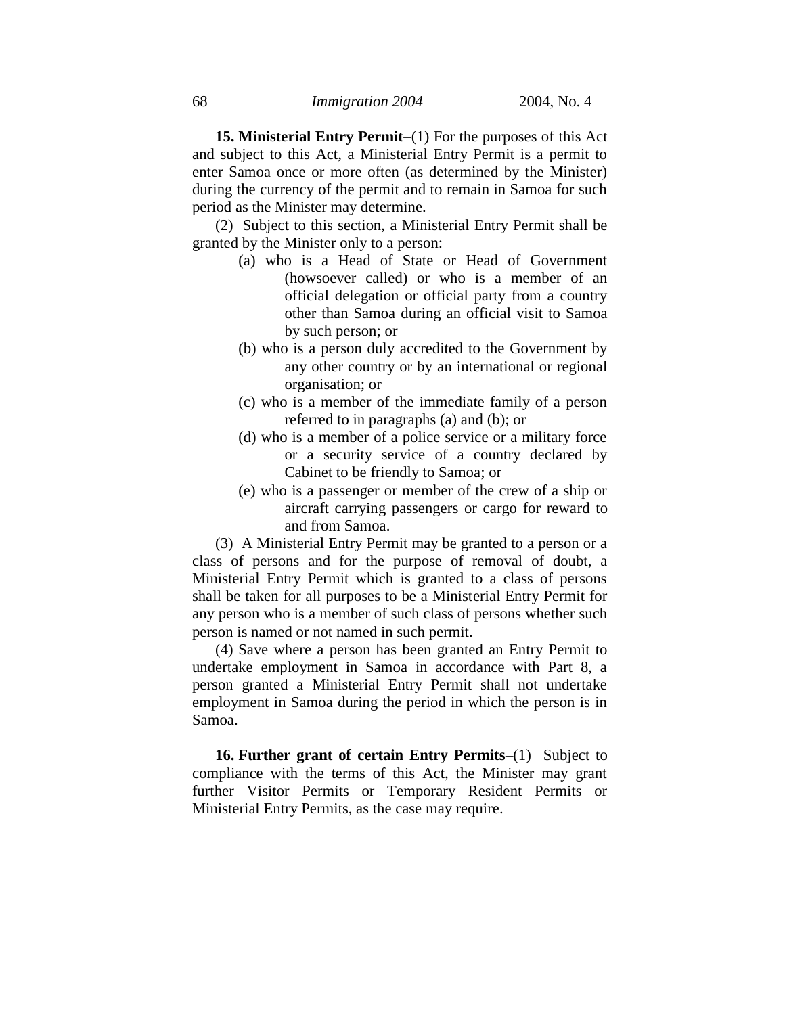**15. Ministerial Entry Permit**–(1) For the purposes of this Act and subject to this Act, a Ministerial Entry Permit is a permit to enter Samoa once or more often (as determined by the Minister) during the currency of the permit and to remain in Samoa for such period as the Minister may determine.

(2) Subject to this section, a Ministerial Entry Permit shall be granted by the Minister only to a person:

- (a) who is a Head of State or Head of Government (howsoever called) or who is a member of an official delegation or official party from a country other than Samoa during an official visit to Samoa by such person; or
- (b) who is a person duly accredited to the Government by any other country or by an international or regional organisation; or
- (c) who is a member of the immediate family of a person referred to in paragraphs (a) and (b); or
- (d) who is a member of a police service or a military force or a security service of a country declared by Cabinet to be friendly to Samoa; or
- (e) who is a passenger or member of the crew of a ship or aircraft carrying passengers or cargo for reward to and from Samoa.

(3) A Ministerial Entry Permit may be granted to a person or a class of persons and for the purpose of removal of doubt, a Ministerial Entry Permit which is granted to a class of persons shall be taken for all purposes to be a Ministerial Entry Permit for any person who is a member of such class of persons whether such person is named or not named in such permit.

(4) Save where a person has been granted an Entry Permit to undertake employment in Samoa in accordance with Part 8, a person granted a Ministerial Entry Permit shall not undertake employment in Samoa during the period in which the person is in Samoa.

**16. Further grant of certain Entry Permits**–(1) Subject to compliance with the terms of this Act, the Minister may grant further Visitor Permits or Temporary Resident Permits or Ministerial Entry Permits, as the case may require.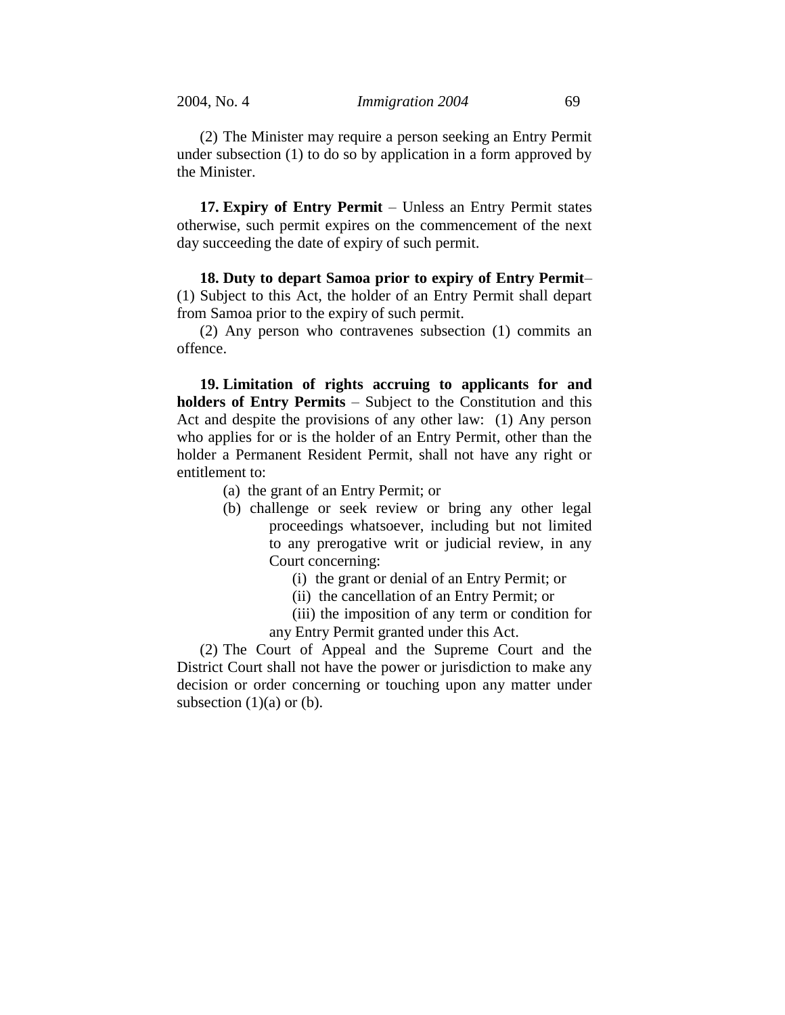(2) The Minister may require a person seeking an Entry Permit under subsection (1) to do so by application in a form approved by the Minister.

**17. Expiry of Entry Permit** – Unless an Entry Permit states otherwise, such permit expires on the commencement of the next day succeeding the date of expiry of such permit.

**18. Duty to depart Samoa prior to expiry of Entry Permit**– (1) Subject to this Act, the holder of an Entry Permit shall depart from Samoa prior to the expiry of such permit.

(2) Any person who contravenes subsection (1) commits an offence.

**19. Limitation of rights accruing to applicants for and holders of Entry Permits** – Subject to the Constitution and this Act and despite the provisions of any other law: (1) Any person who applies for or is the holder of an Entry Permit, other than the holder a Permanent Resident Permit, shall not have any right or entitlement to:

- (a) the grant of an Entry Permit; or
- (b) challenge or seek review or bring any other legal proceedings whatsoever, including but not limited to any prerogative writ or judicial review, in any Court concerning:
	- (i) the grant or denial of an Entry Permit; or
	- (ii) the cancellation of an Entry Permit; or
	- (iii) the imposition of any term or condition for
	- any Entry Permit granted under this Act.

(2) The Court of Appeal and the Supreme Court and the District Court shall not have the power or jurisdiction to make any decision or order concerning or touching upon any matter under subsection  $(1)(a)$  or  $(b)$ .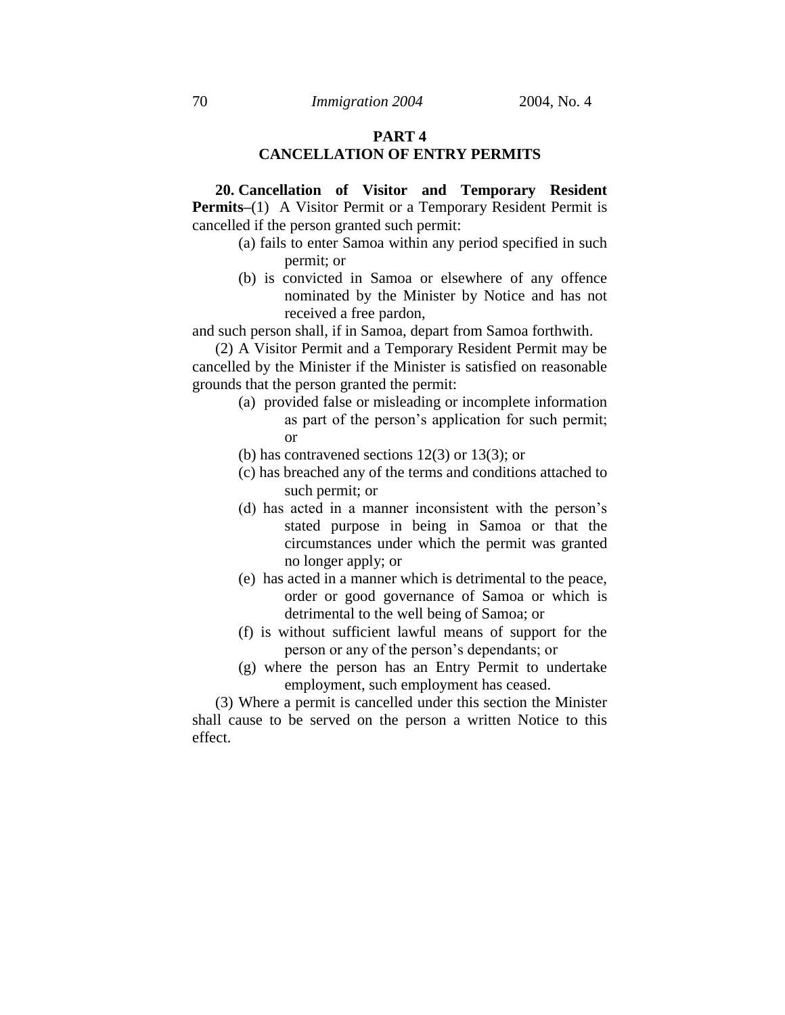### **PART 4 CANCELLATION OF ENTRY PERMITS**

**20. Cancellation of Visitor and Temporary Resident Permits–(1)** A Visitor Permit or a Temporary Resident Permit is cancelled if the person granted such permit:

- (a) fails to enter Samoa within any period specified in such permit; or
- (b) is convicted in Samoa or elsewhere of any offence nominated by the Minister by Notice and has not received a free pardon,

and such person shall, if in Samoa, depart from Samoa forthwith.

(2) A Visitor Permit and a Temporary Resident Permit may be cancelled by the Minister if the Minister is satisfied on reasonable grounds that the person granted the permit:

- (a) provided false or misleading or incomplete information as part of the person's application for such permit; or
- (b) has contravened sections  $12(3)$  or  $13(3)$ ; or
- (c) has breached any of the terms and conditions attached to such permit; or
- (d) has acted in a manner inconsistent with the person's stated purpose in being in Samoa or that the circumstances under which the permit was granted no longer apply; or
- (e) has acted in a manner which is detrimental to the peace, order or good governance of Samoa or which is detrimental to the well being of Samoa; or
- (f) is without sufficient lawful means of support for the person or any of the person's dependants; or
- (g) where the person has an Entry Permit to undertake employment, such employment has ceased.

(3) Where a permit is cancelled under this section the Minister shall cause to be served on the person a written Notice to this effect.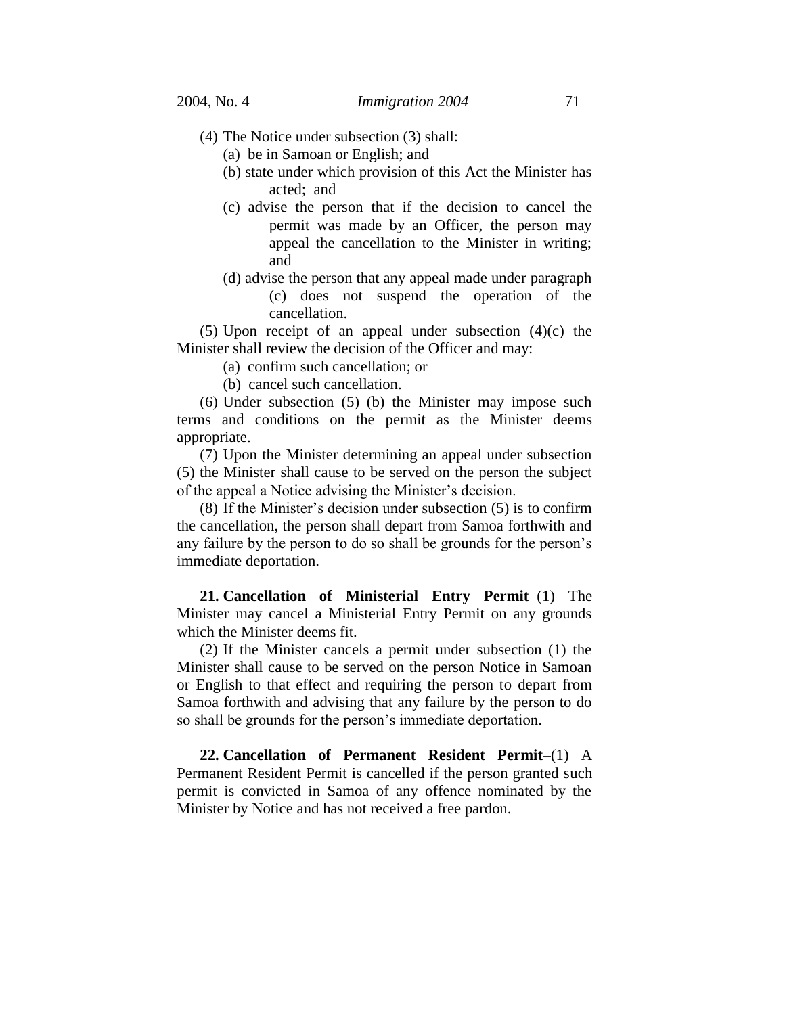- (4) The Notice under subsection (3) shall:
	- (a) be in Samoan or English; and
	- (b) state under which provision of this Act the Minister has acted; and
	- (c) advise the person that if the decision to cancel the permit was made by an Officer, the person may appeal the cancellation to the Minister in writing; and
	- (d) advise the person that any appeal made under paragraph (c) does not suspend the operation of the cancellation.

(5) Upon receipt of an appeal under subsection (4)(c) the Minister shall review the decision of the Officer and may:

- (a) confirm such cancellation; or
- (b) cancel such cancellation.

(6) Under subsection (5) (b) the Minister may impose such terms and conditions on the permit as the Minister deems appropriate.

(7) Upon the Minister determining an appeal under subsection (5) the Minister shall cause to be served on the person the subject of the appeal a Notice advising the Minister's decision.

(8) If the Minister's decision under subsection (5) is to confirm the cancellation, the person shall depart from Samoa forthwith and any failure by the person to do so shall be grounds for the person's immediate deportation.

**21. Cancellation of Ministerial Entry Permit**–(1) The Minister may cancel a Ministerial Entry Permit on any grounds which the Minister deems fit.

(2) If the Minister cancels a permit under subsection (1) the Minister shall cause to be served on the person Notice in Samoan or English to that effect and requiring the person to depart from Samoa forthwith and advising that any failure by the person to do so shall be grounds for the person's immediate deportation.

**22. Cancellation of Permanent Resident Permit**–(1) A Permanent Resident Permit is cancelled if the person granted such permit is convicted in Samoa of any offence nominated by the Minister by Notice and has not received a free pardon.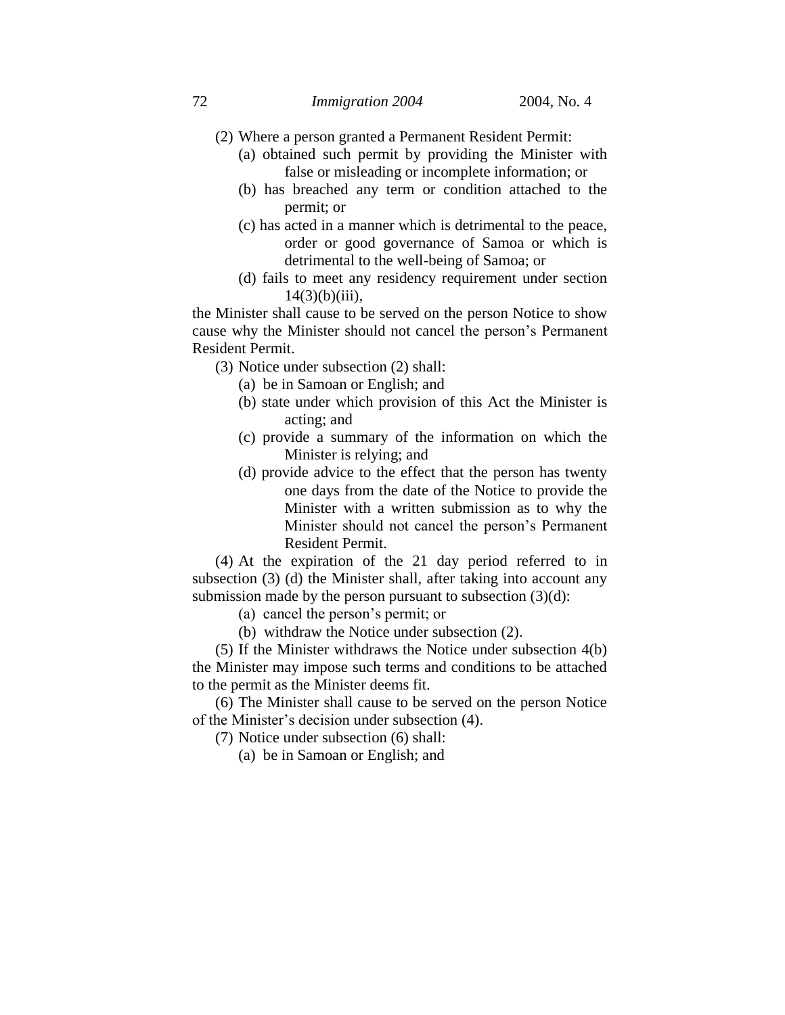- (2) Where a person granted a Permanent Resident Permit:
	- (a) obtained such permit by providing the Minister with false or misleading or incomplete information; or
	- (b) has breached any term or condition attached to the permit; or
	- (c) has acted in a manner which is detrimental to the peace, order or good governance of Samoa or which is detrimental to the well-being of Samoa; or
	- (d) fails to meet any residency requirement under section  $14(3)(b)(iii)$ ,

the Minister shall cause to be served on the person Notice to show cause why the Minister should not cancel the person's Permanent Resident Permit.

- (3) Notice under subsection (2) shall:
	- (a) be in Samoan or English; and
	- (b) state under which provision of this Act the Minister is acting; and
	- (c) provide a summary of the information on which the Minister is relying; and
	- (d) provide advice to the effect that the person has twenty one days from the date of the Notice to provide the Minister with a written submission as to why the Minister should not cancel the person's Permanent Resident Permit.

(4) At the expiration of the 21 day period referred to in subsection (3) (d) the Minister shall, after taking into account any submission made by the person pursuant to subsection  $(3)(d)$ :

(a) cancel the person's permit; or

(b) withdraw the Notice under subsection (2).

(5) If the Minister withdraws the Notice under subsection 4(b) the Minister may impose such terms and conditions to be attached to the permit as the Minister deems fit.

(6) The Minister shall cause to be served on the person Notice of the Minister's decision under subsection (4).

(7) Notice under subsection (6) shall:

(a) be in Samoan or English; and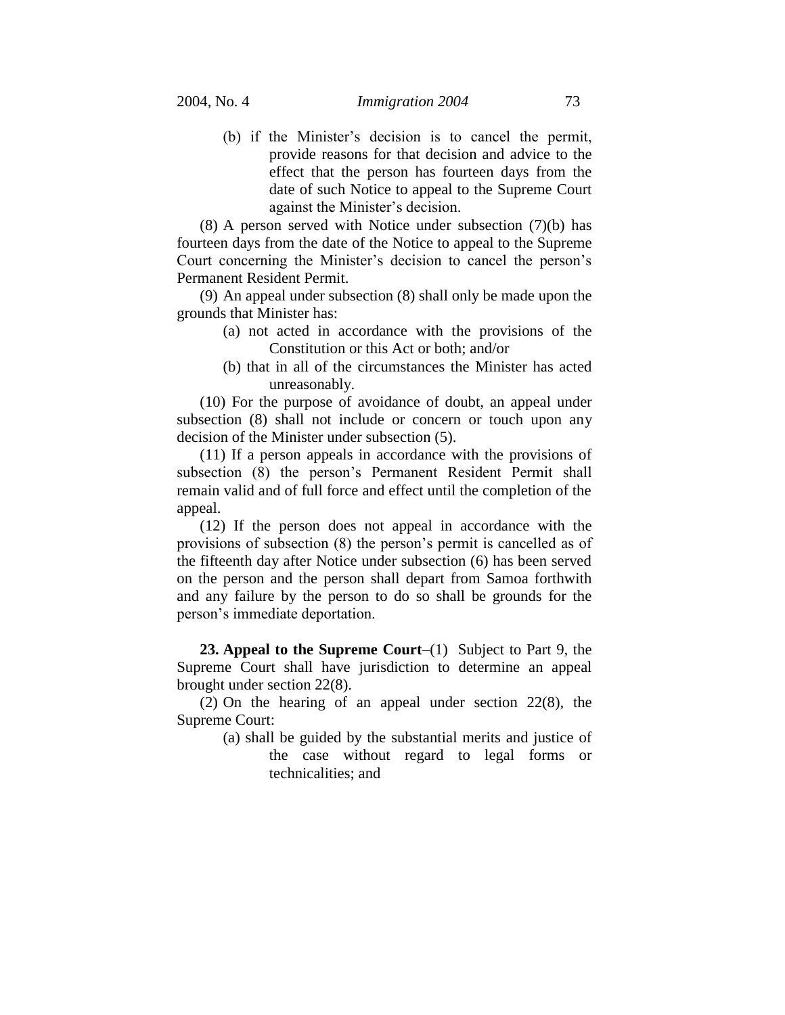(b) if the Minister's decision is to cancel the permit, provide reasons for that decision and advice to the effect that the person has fourteen days from the date of such Notice to appeal to the Supreme Court against the Minister's decision.

(8) A person served with Notice under subsection (7)(b) has fourteen days from the date of the Notice to appeal to the Supreme Court concerning the Minister's decision to cancel the person's Permanent Resident Permit.

(9) An appeal under subsection (8) shall only be made upon the grounds that Minister has:

- (a) not acted in accordance with the provisions of the Constitution or this Act or both; and/or
- (b) that in all of the circumstances the Minister has acted unreasonably.

(10) For the purpose of avoidance of doubt, an appeal under subsection (8) shall not include or concern or touch upon any decision of the Minister under subsection (5).

(11) If a person appeals in accordance with the provisions of subsection (8) the person's Permanent Resident Permit shall remain valid and of full force and effect until the completion of the appeal.

(12) If the person does not appeal in accordance with the provisions of subsection (8) the person's permit is cancelled as of the fifteenth day after Notice under subsection (6) has been served on the person and the person shall depart from Samoa forthwith and any failure by the person to do so shall be grounds for the person's immediate deportation.

**23. Appeal to the Supreme Court**–(1) Subject to Part 9, the Supreme Court shall have jurisdiction to determine an appeal brought under section 22(8).

(2) On the hearing of an appeal under section 22(8), the Supreme Court:

> (a) shall be guided by the substantial merits and justice of the case without regard to legal forms or technicalities; and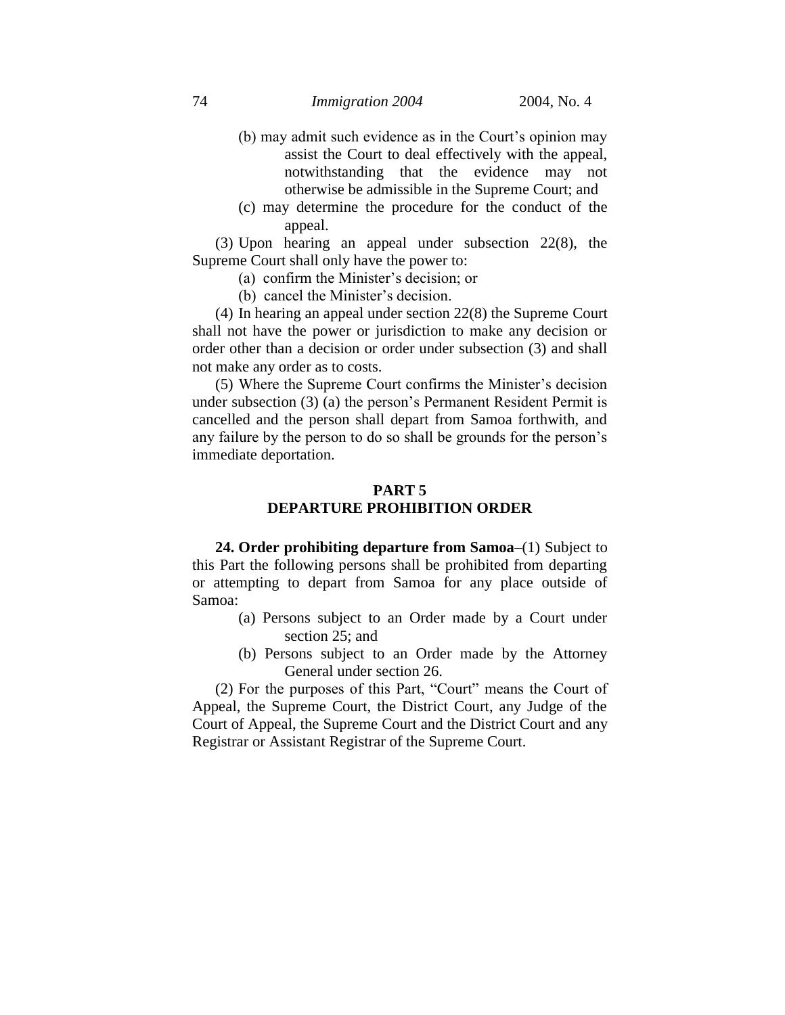- (b) may admit such evidence as in the Court's opinion may assist the Court to deal effectively with the appeal, notwithstanding that the evidence may not otherwise be admissible in the Supreme Court; and
- (c) may determine the procedure for the conduct of the appeal.

(3) Upon hearing an appeal under subsection 22(8), the Supreme Court shall only have the power to:

- (a) confirm the Minister's decision; or
- (b) cancel the Minister's decision.

(4) In hearing an appeal under section 22(8) the Supreme Court shall not have the power or jurisdiction to make any decision or order other than a decision or order under subsection (3) and shall not make any order as to costs.

(5) Where the Supreme Court confirms the Minister's decision under subsection (3) (a) the person's Permanent Resident Permit is cancelled and the person shall depart from Samoa forthwith, and any failure by the person to do so shall be grounds for the person's immediate deportation.

## **PART 5 DEPARTURE PROHIBITION ORDER**

**24. Order prohibiting departure from Samoa**–(1) Subject to this Part the following persons shall be prohibited from departing or attempting to depart from Samoa for any place outside of Samoa:

- (a) Persons subject to an Order made by a Court under section 25; and
- (b) Persons subject to an Order made by the Attorney General under section 26.

(2) For the purposes of this Part, "Court" means the Court of Appeal, the Supreme Court, the District Court, any Judge of the Court of Appeal, the Supreme Court and the District Court and any Registrar or Assistant Registrar of the Supreme Court.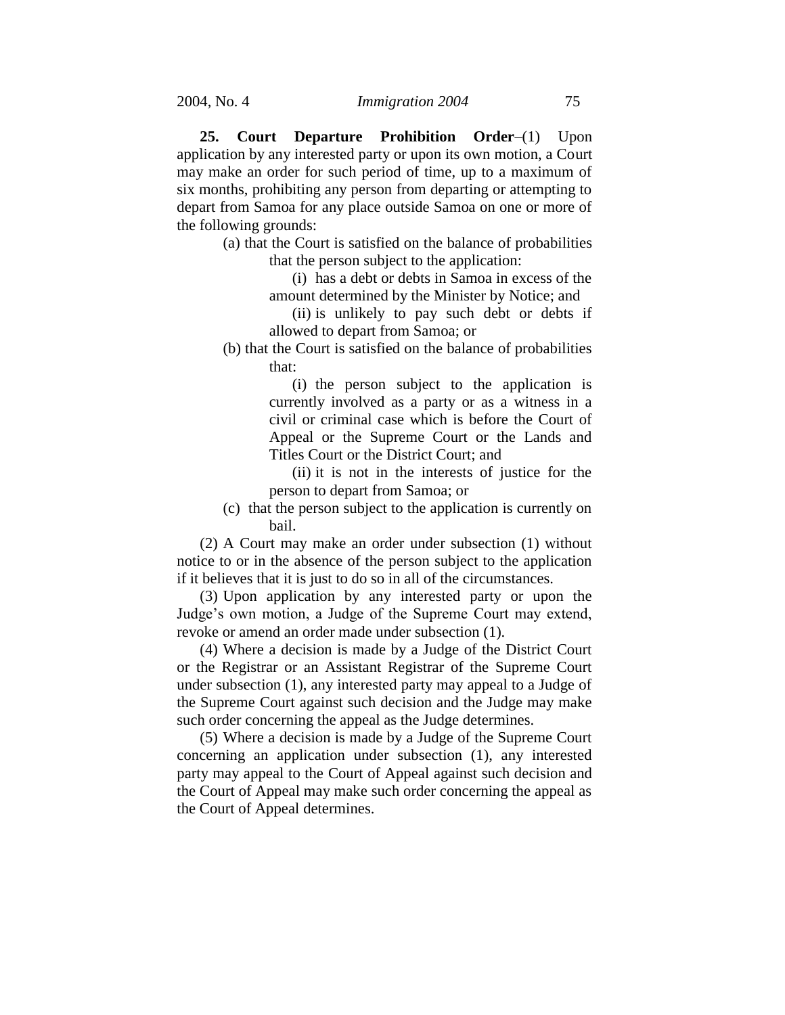**25. Court Departure Prohibition Order**–(1) Upon application by any interested party or upon its own motion, a Court may make an order for such period of time, up to a maximum of six months, prohibiting any person from departing or attempting to depart from Samoa for any place outside Samoa on one or more of the following grounds:

> (a) that the Court is satisfied on the balance of probabilities that the person subject to the application:

> > (i) has a debt or debts in Samoa in excess of the amount determined by the Minister by Notice; and

(ii) is unlikely to pay such debt or debts if allowed to depart from Samoa; or

(b) that the Court is satisfied on the balance of probabilities that:

> (i) the person subject to the application is currently involved as a party or as a witness in a civil or criminal case which is before the Court of Appeal or the Supreme Court or the Lands and Titles Court or the District Court; and

> (ii) it is not in the interests of justice for the person to depart from Samoa; or

(c) that the person subject to the application is currently on bail.

(2) A Court may make an order under subsection (1) without notice to or in the absence of the person subject to the application if it believes that it is just to do so in all of the circumstances.

(3) Upon application by any interested party or upon the Judge's own motion, a Judge of the Supreme Court may extend, revoke or amend an order made under subsection (1).

(4) Where a decision is made by a Judge of the District Court or the Registrar or an Assistant Registrar of the Supreme Court under subsection (1), any interested party may appeal to a Judge of the Supreme Court against such decision and the Judge may make such order concerning the appeal as the Judge determines.

(5) Where a decision is made by a Judge of the Supreme Court concerning an application under subsection (1), any interested party may appeal to the Court of Appeal against such decision and the Court of Appeal may make such order concerning the appeal as the Court of Appeal determines.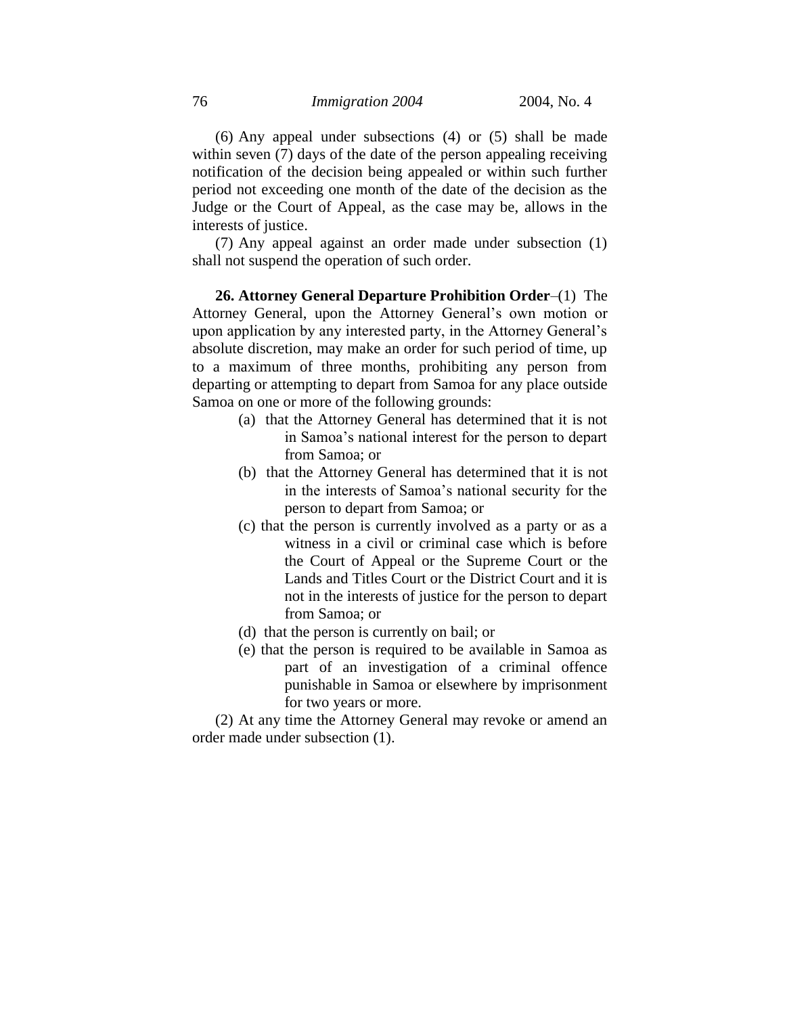(6) Any appeal under subsections (4) or (5) shall be made within seven (7) days of the date of the person appealing receiving notification of the decision being appealed or within such further period not exceeding one month of the date of the decision as the Judge or the Court of Appeal, as the case may be, allows in the interests of justice.

(7) Any appeal against an order made under subsection (1) shall not suspend the operation of such order.

**26. Attorney General Departure Prohibition Order**–(1) The Attorney General, upon the Attorney General's own motion or upon application by any interested party, in the Attorney General's absolute discretion, may make an order for such period of time, up to a maximum of three months, prohibiting any person from departing or attempting to depart from Samoa for any place outside Samoa on one or more of the following grounds:

- (a) that the Attorney General has determined that it is not in Samoa's national interest for the person to depart from Samoa; or
- (b) that the Attorney General has determined that it is not in the interests of Samoa's national security for the person to depart from Samoa; or
- (c) that the person is currently involved as a party or as a witness in a civil or criminal case which is before the Court of Appeal or the Supreme Court or the Lands and Titles Court or the District Court and it is not in the interests of justice for the person to depart from Samoa; or
- (d) that the person is currently on bail; or
- (e) that the person is required to be available in Samoa as part of an investigation of a criminal offence punishable in Samoa or elsewhere by imprisonment for two years or more.

(2) At any time the Attorney General may revoke or amend an order made under subsection (1).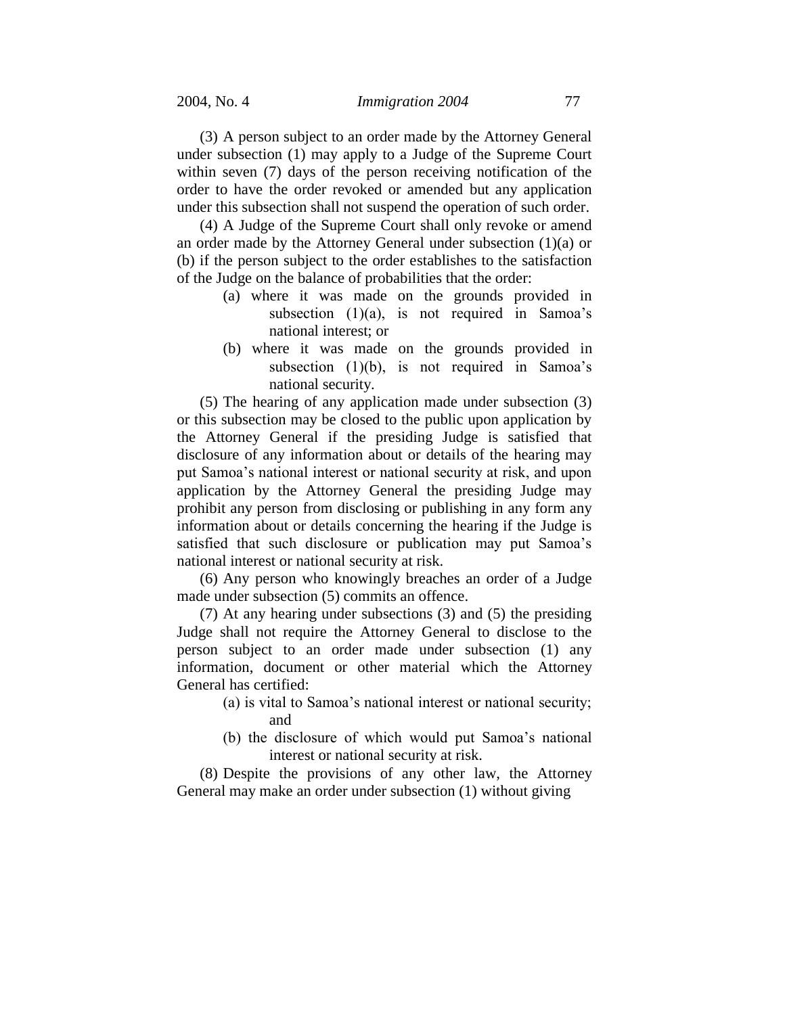(3) A person subject to an order made by the Attorney General under subsection (1) may apply to a Judge of the Supreme Court within seven (7) days of the person receiving notification of the order to have the order revoked or amended but any application under this subsection shall not suspend the operation of such order.

(4) A Judge of the Supreme Court shall only revoke or amend an order made by the Attorney General under subsection (1)(a) or (b) if the person subject to the order establishes to the satisfaction of the Judge on the balance of probabilities that the order:

- (a) where it was made on the grounds provided in subsection (1)(a), is not required in Samoa's national interest; or
- (b) where it was made on the grounds provided in subsection (1)(b), is not required in Samoa's national security.

(5) The hearing of any application made under subsection (3) or this subsection may be closed to the public upon application by the Attorney General if the presiding Judge is satisfied that disclosure of any information about or details of the hearing may put Samoa's national interest or national security at risk, and upon application by the Attorney General the presiding Judge may prohibit any person from disclosing or publishing in any form any information about or details concerning the hearing if the Judge is satisfied that such disclosure or publication may put Samoa's national interest or national security at risk.

(6) Any person who knowingly breaches an order of a Judge made under subsection (5) commits an offence.

(7) At any hearing under subsections (3) and (5) the presiding Judge shall not require the Attorney General to disclose to the person subject to an order made under subsection (1) any information, document or other material which the Attorney General has certified:

- (a) is vital to Samoa's national interest or national security; and
- (b) the disclosure of which would put Samoa's national interest or national security at risk.

(8) Despite the provisions of any other law, the Attorney General may make an order under subsection (1) without giving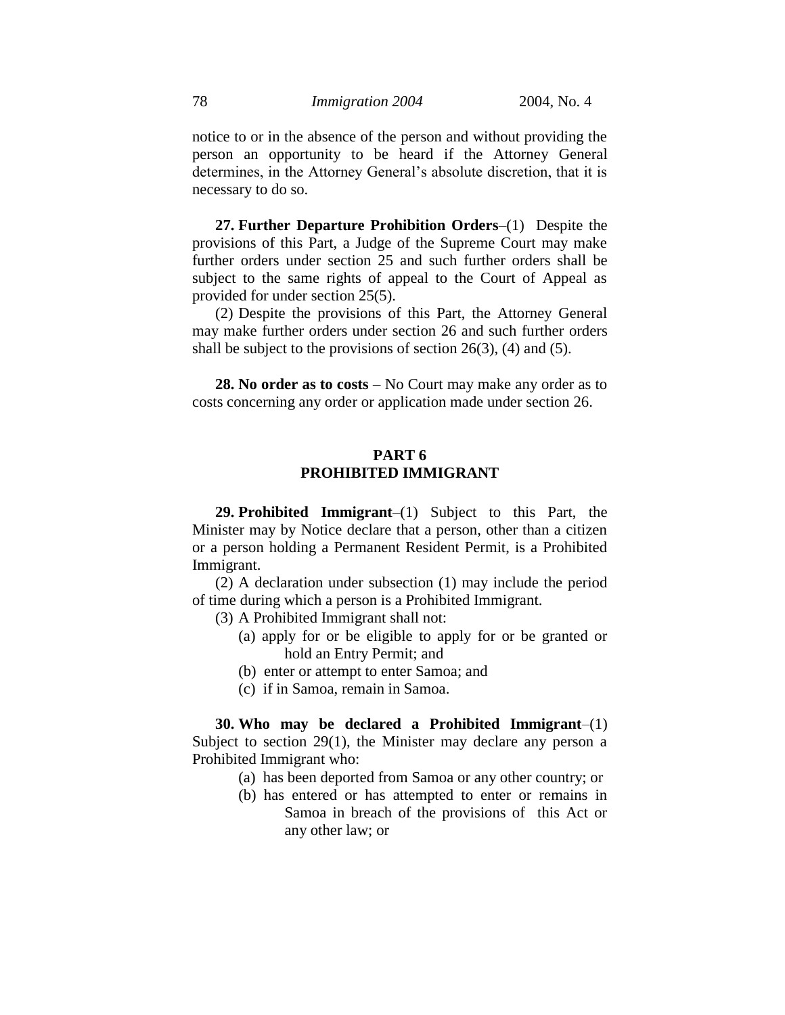notice to or in the absence of the person and without providing the person an opportunity to be heard if the Attorney General determines, in the Attorney General's absolute discretion, that it is necessary to do so.

**27. Further Departure Prohibition Orders**–(1) Despite the provisions of this Part, a Judge of the Supreme Court may make further orders under section 25 and such further orders shall be subject to the same rights of appeal to the Court of Appeal as provided for under section 25(5).

(2) Despite the provisions of this Part, the Attorney General may make further orders under section 26 and such further orders shall be subject to the provisions of section  $26(3)$ , (4) and (5).

**28. No order as to costs** – No Court may make any order as to costs concerning any order or application made under section 26.

# **PART 6 PROHIBITED IMMIGRANT**

**29. Prohibited Immigrant**–(1) Subject to this Part, the Minister may by Notice declare that a person, other than a citizen or a person holding a Permanent Resident Permit, is a Prohibited Immigrant.

(2) A declaration under subsection (1) may include the period of time during which a person is a Prohibited Immigrant.

(3) A Prohibited Immigrant shall not:

- (a) apply for or be eligible to apply for or be granted or hold an Entry Permit; and
- (b) enter or attempt to enter Samoa; and
- (c) if in Samoa, remain in Samoa.

**30. Who may be declared a Prohibited Immigrant**–(1) Subject to section 29(1), the Minister may declare any person a Prohibited Immigrant who:

- (a) has been deported from Samoa or any other country; or
- (b) has entered or has attempted to enter or remains in Samoa in breach of the provisions of this Act or any other law; or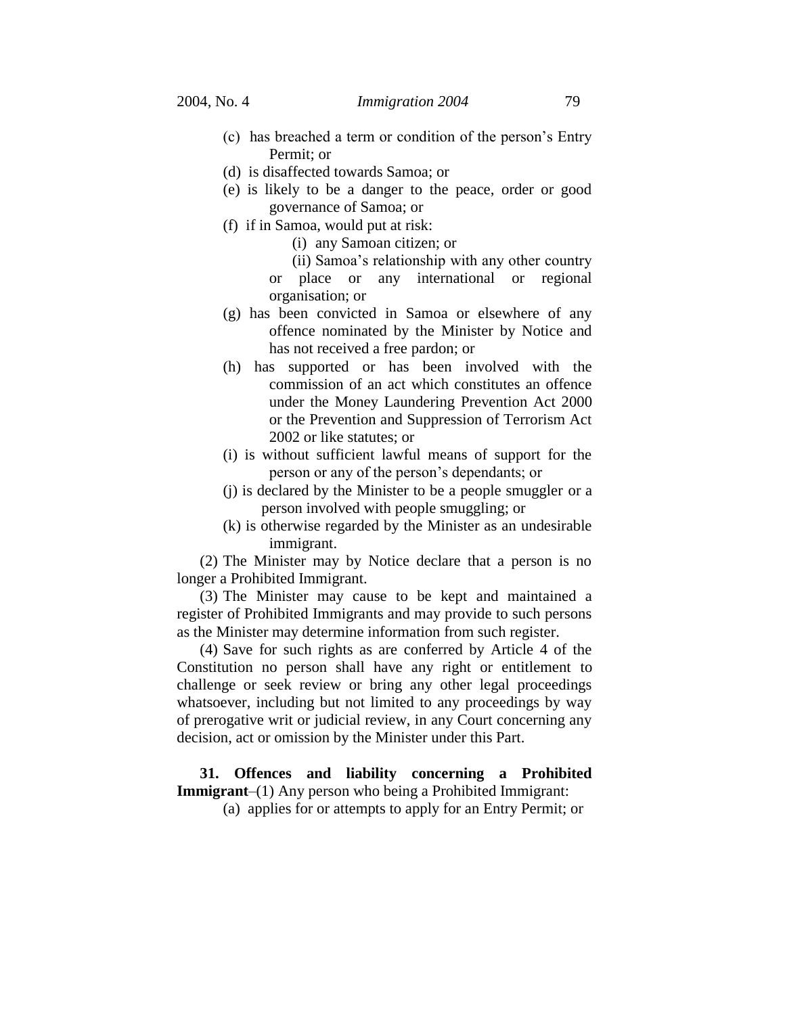- (c) has breached a term or condition of the person's Entry Permit; or
- (d) is disaffected towards Samoa; or
- (e) is likely to be a danger to the peace, order or good governance of Samoa; or
- (f) if in Samoa, would put at risk:
	- (i) any Samoan citizen; or
	- (ii) Samoa's relationship with any other country or place or any international or regional organisation; or
- (g) has been convicted in Samoa or elsewhere of any offence nominated by the Minister by Notice and has not received a free pardon; or
- (h) has supported or has been involved with the commission of an act which constitutes an offence under the Money Laundering Prevention Act 2000 or the Prevention and Suppression of Terrorism Act 2002 or like statutes; or
- (i) is without sufficient lawful means of support for the person or any of the person's dependants; or
- (j) is declared by the Minister to be a people smuggler or a person involved with people smuggling; or
- (k) is otherwise regarded by the Minister as an undesirable immigrant.

(2) The Minister may by Notice declare that a person is no longer a Prohibited Immigrant.

(3) The Minister may cause to be kept and maintained a register of Prohibited Immigrants and may provide to such persons as the Minister may determine information from such register.

(4) Save for such rights as are conferred by Article 4 of the Constitution no person shall have any right or entitlement to challenge or seek review or bring any other legal proceedings whatsoever, including but not limited to any proceedings by way of prerogative writ or judicial review, in any Court concerning any decision, act or omission by the Minister under this Part.

# **31. Offences and liability concerning a Prohibited Immigrant**–(1) Any person who being a Prohibited Immigrant:

(a) applies for or attempts to apply for an Entry Permit; or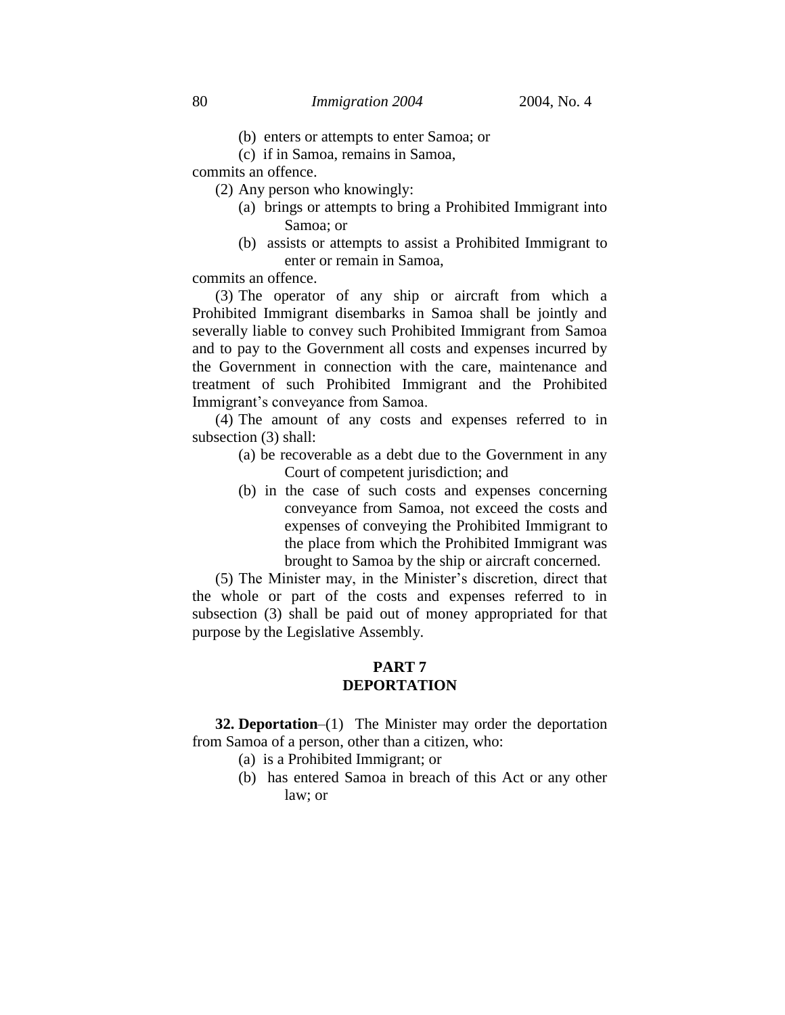- (b) enters or attempts to enter Samoa; or
- (c) if in Samoa, remains in Samoa,

commits an offence.

- (2) Any person who knowingly:
	- (a) brings or attempts to bring a Prohibited Immigrant into Samoa; or
	- (b) assists or attempts to assist a Prohibited Immigrant to enter or remain in Samoa,

commits an offence.

(3) The operator of any ship or aircraft from which a Prohibited Immigrant disembarks in Samoa shall be jointly and severally liable to convey such Prohibited Immigrant from Samoa and to pay to the Government all costs and expenses incurred by the Government in connection with the care, maintenance and treatment of such Prohibited Immigrant and the Prohibited Immigrant's conveyance from Samoa.

(4) The amount of any costs and expenses referred to in subsection (3) shall:

- (a) be recoverable as a debt due to the Government in any Court of competent jurisdiction; and
- (b) in the case of such costs and expenses concerning conveyance from Samoa, not exceed the costs and expenses of conveying the Prohibited Immigrant to the place from which the Prohibited Immigrant was brought to Samoa by the ship or aircraft concerned.

(5) The Minister may, in the Minister's discretion, direct that the whole or part of the costs and expenses referred to in subsection (3) shall be paid out of money appropriated for that purpose by the Legislative Assembly.

# **PART 7 DEPORTATION**

**32. Deportation**–(1) The Minister may order the deportation from Samoa of a person, other than a citizen, who:

- (a) is a Prohibited Immigrant; or
- (b) has entered Samoa in breach of this Act or any other law; or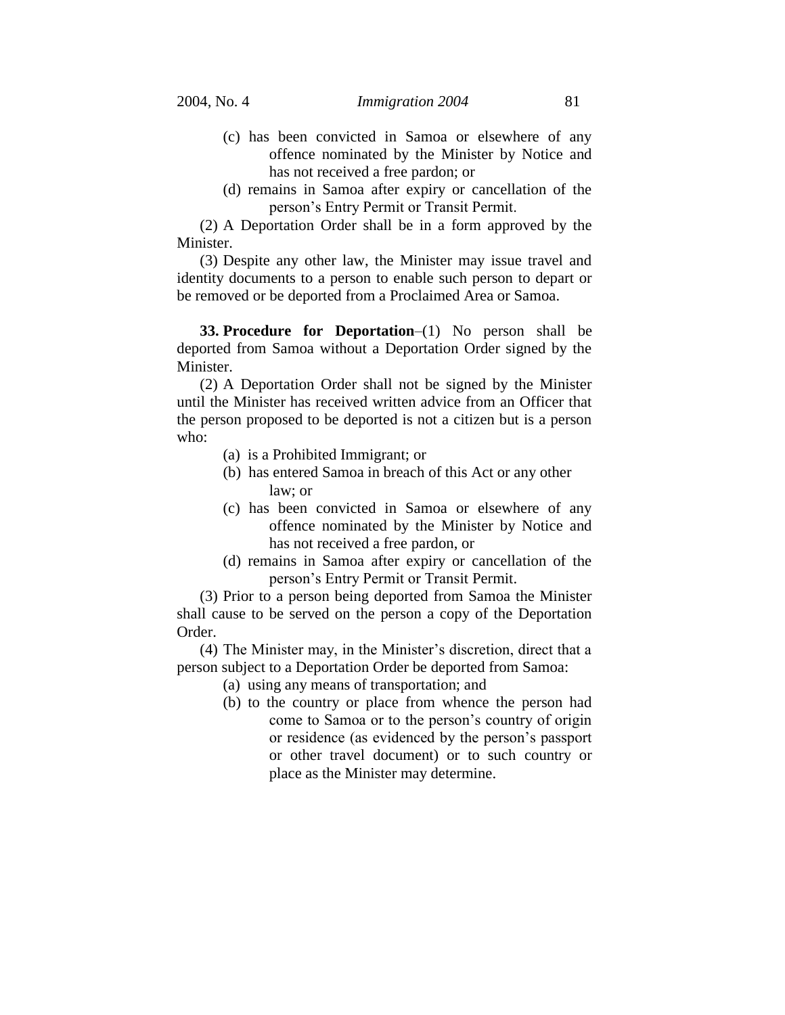- (c) has been convicted in Samoa or elsewhere of any offence nominated by the Minister by Notice and has not received a free pardon; or
- (d) remains in Samoa after expiry or cancellation of the person's Entry Permit or Transit Permit.

(2) A Deportation Order shall be in a form approved by the Minister.

(3) Despite any other law, the Minister may issue travel and identity documents to a person to enable such person to depart or be removed or be deported from a Proclaimed Area or Samoa.

**33. Procedure for Deportation**–(1) No person shall be deported from Samoa without a Deportation Order signed by the Minister.

(2) A Deportation Order shall not be signed by the Minister until the Minister has received written advice from an Officer that the person proposed to be deported is not a citizen but is a person who:

- (a) is a Prohibited Immigrant; or
- (b) has entered Samoa in breach of this Act or any other law; or
- (c) has been convicted in Samoa or elsewhere of any offence nominated by the Minister by Notice and has not received a free pardon, or
- (d) remains in Samoa after expiry or cancellation of the person's Entry Permit or Transit Permit.

(3) Prior to a person being deported from Samoa the Minister shall cause to be served on the person a copy of the Deportation Order.

(4) The Minister may, in the Minister's discretion, direct that a person subject to a Deportation Order be deported from Samoa:

- (a) using any means of transportation; and
- (b) to the country or place from whence the person had come to Samoa or to the person's country of origin or residence (as evidenced by the person's passport or other travel document) or to such country or place as the Minister may determine.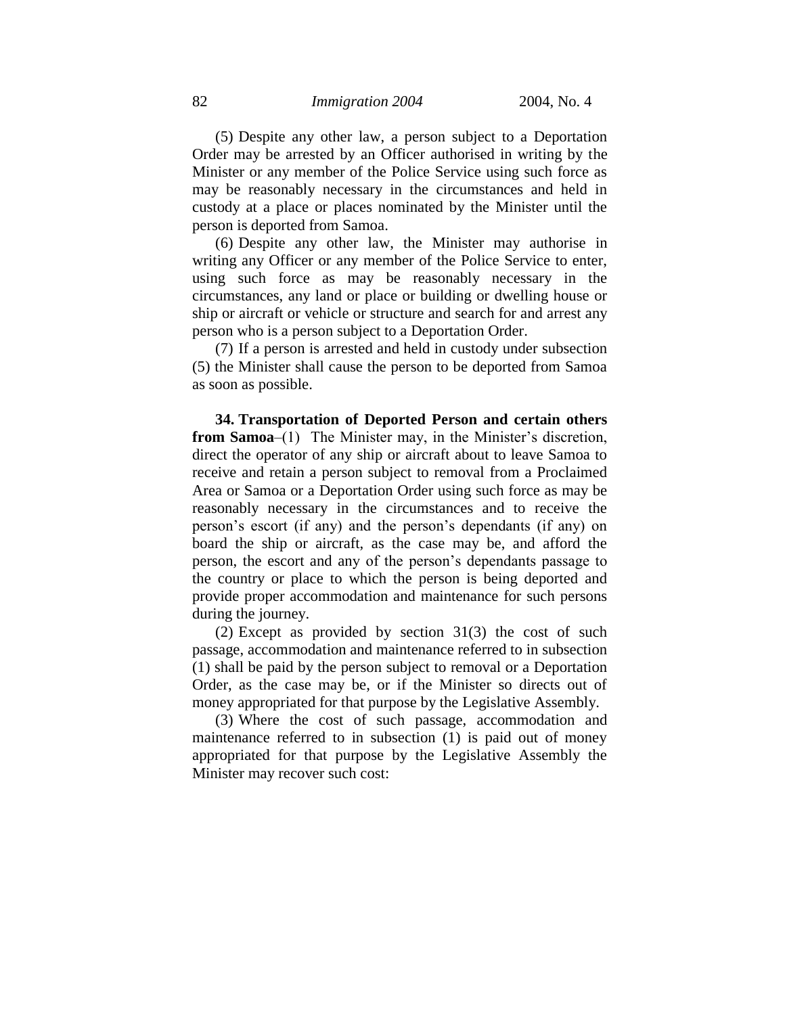(5) Despite any other law, a person subject to a Deportation Order may be arrested by an Officer authorised in writing by the Minister or any member of the Police Service using such force as may be reasonably necessary in the circumstances and held in custody at a place or places nominated by the Minister until the person is deported from Samoa.

(6) Despite any other law, the Minister may authorise in writing any Officer or any member of the Police Service to enter, using such force as may be reasonably necessary in the circumstances, any land or place or building or dwelling house or ship or aircraft or vehicle or structure and search for and arrest any person who is a person subject to a Deportation Order.

(7) If a person is arrested and held in custody under subsection (5) the Minister shall cause the person to be deported from Samoa as soon as possible.

**34. Transportation of Deported Person and certain others from Samoa**–(1) The Minister may, in the Minister's discretion, direct the operator of any ship or aircraft about to leave Samoa to receive and retain a person subject to removal from a Proclaimed Area or Samoa or a Deportation Order using such force as may be reasonably necessary in the circumstances and to receive the person's escort (if any) and the person's dependants (if any) on board the ship or aircraft, as the case may be, and afford the person, the escort and any of the person's dependants passage to the country or place to which the person is being deported and provide proper accommodation and maintenance for such persons during the journey.

(2) Except as provided by section 31(3) the cost of such passage, accommodation and maintenance referred to in subsection (1) shall be paid by the person subject to removal or a Deportation Order, as the case may be, or if the Minister so directs out of money appropriated for that purpose by the Legislative Assembly.

(3) Where the cost of such passage, accommodation and maintenance referred to in subsection (1) is paid out of money appropriated for that purpose by the Legislative Assembly the Minister may recover such cost: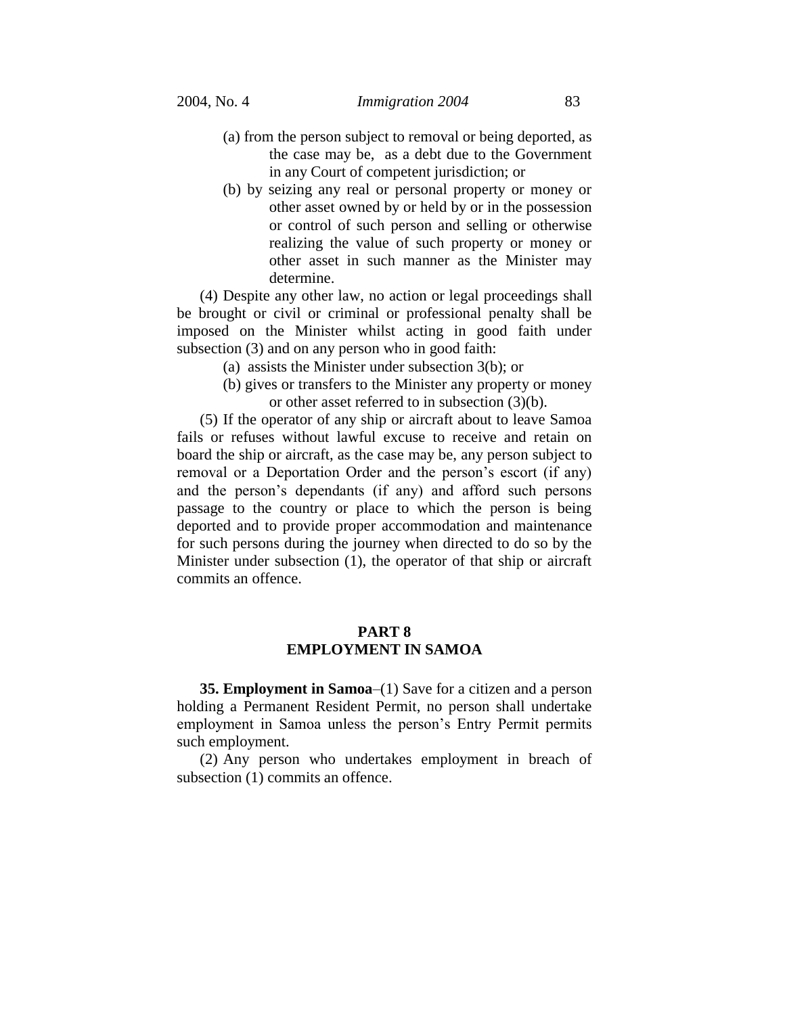- (a) from the person subject to removal or being deported, as the case may be, as a debt due to the Government in any Court of competent jurisdiction; or
- (b) by seizing any real or personal property or money or other asset owned by or held by or in the possession or control of such person and selling or otherwise realizing the value of such property or money or other asset in such manner as the Minister may determine.

(4) Despite any other law, no action or legal proceedings shall be brought or civil or criminal or professional penalty shall be imposed on the Minister whilst acting in good faith under subsection (3) and on any person who in good faith:

- (a) assists the Minister under subsection 3(b); or
- (b) gives or transfers to the Minister any property or money or other asset referred to in subsection (3)(b).

(5) If the operator of any ship or aircraft about to leave Samoa fails or refuses without lawful excuse to receive and retain on board the ship or aircraft, as the case may be, any person subject to removal or a Deportation Order and the person's escort (if any) and the person's dependants (if any) and afford such persons passage to the country or place to which the person is being deported and to provide proper accommodation and maintenance for such persons during the journey when directed to do so by the Minister under subsection (1), the operator of that ship or aircraft commits an offence.

# **PART 8 EMPLOYMENT IN SAMOA**

**35. Employment in Samoa**–(1) Save for a citizen and a person holding a Permanent Resident Permit, no person shall undertake employment in Samoa unless the person's Entry Permit permits such employment.

(2) Any person who undertakes employment in breach of subsection (1) commits an offence.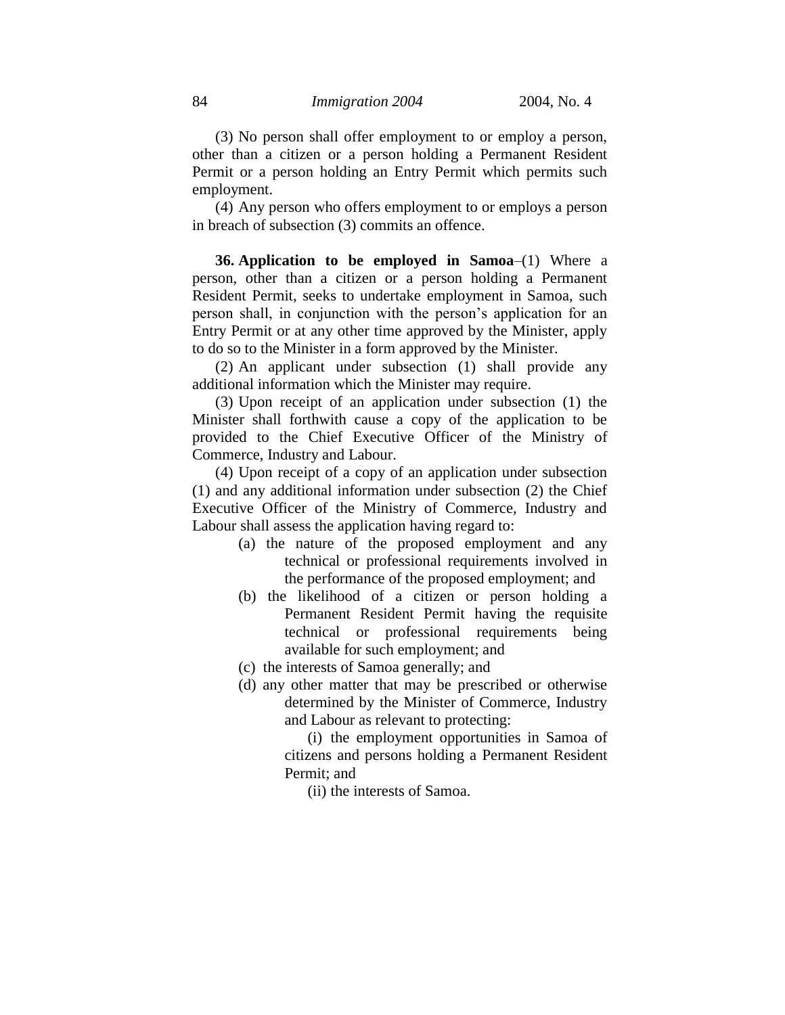(3) No person shall offer employment to or employ a person, other than a citizen or a person holding a Permanent Resident Permit or a person holding an Entry Permit which permits such employment.

(4) Any person who offers employment to or employs a person in breach of subsection (3) commits an offence.

**36. Application to be employed in Samoa**–(1) Where a person, other than a citizen or a person holding a Permanent Resident Permit, seeks to undertake employment in Samoa, such person shall, in conjunction with the person's application for an Entry Permit or at any other time approved by the Minister, apply to do so to the Minister in a form approved by the Minister.

(2) An applicant under subsection (1) shall provide any additional information which the Minister may require.

(3) Upon receipt of an application under subsection (1) the Minister shall forthwith cause a copy of the application to be provided to the Chief Executive Officer of the Ministry of Commerce, Industry and Labour.

(4) Upon receipt of a copy of an application under subsection (1) and any additional information under subsection (2) the Chief Executive Officer of the Ministry of Commerce, Industry and Labour shall assess the application having regard to:

- (a) the nature of the proposed employment and any technical or professional requirements involved in the performance of the proposed employment; and
- (b) the likelihood of a citizen or person holding a Permanent Resident Permit having the requisite technical or professional requirements being available for such employment; and
- (c) the interests of Samoa generally; and
- (d) any other matter that may be prescribed or otherwise determined by the Minister of Commerce, Industry and Labour as relevant to protecting:

(i) the employment opportunities in Samoa of citizens and persons holding a Permanent Resident Permit; and

(ii) the interests of Samoa.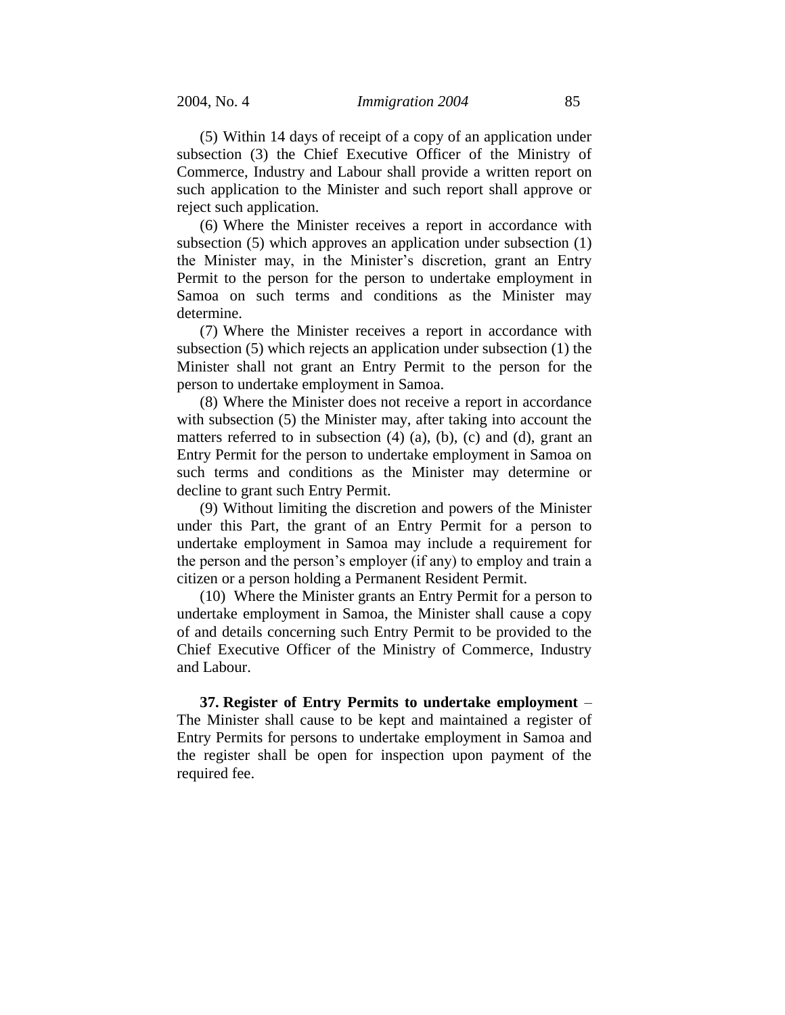(5) Within 14 days of receipt of a copy of an application under subsection (3) the Chief Executive Officer of the Ministry of Commerce, Industry and Labour shall provide a written report on such application to the Minister and such report shall approve or reject such application.

(6) Where the Minister receives a report in accordance with subsection (5) which approves an application under subsection (1) the Minister may, in the Minister's discretion, grant an Entry Permit to the person for the person to undertake employment in Samoa on such terms and conditions as the Minister may determine.

(7) Where the Minister receives a report in accordance with subsection (5) which rejects an application under subsection (1) the Minister shall not grant an Entry Permit to the person for the person to undertake employment in Samoa.

(8) Where the Minister does not receive a report in accordance with subsection (5) the Minister may, after taking into account the matters referred to in subsection (4) (a), (b), (c) and (d), grant an Entry Permit for the person to undertake employment in Samoa on such terms and conditions as the Minister may determine or decline to grant such Entry Permit.

(9) Without limiting the discretion and powers of the Minister under this Part, the grant of an Entry Permit for a person to undertake employment in Samoa may include a requirement for the person and the person's employer (if any) to employ and train a citizen or a person holding a Permanent Resident Permit.

(10) Where the Minister grants an Entry Permit for a person to undertake employment in Samoa, the Minister shall cause a copy of and details concerning such Entry Permit to be provided to the Chief Executive Officer of the Ministry of Commerce, Industry and Labour.

**37. Register of Entry Permits to undertake employment** – The Minister shall cause to be kept and maintained a register of Entry Permits for persons to undertake employment in Samoa and the register shall be open for inspection upon payment of the required fee.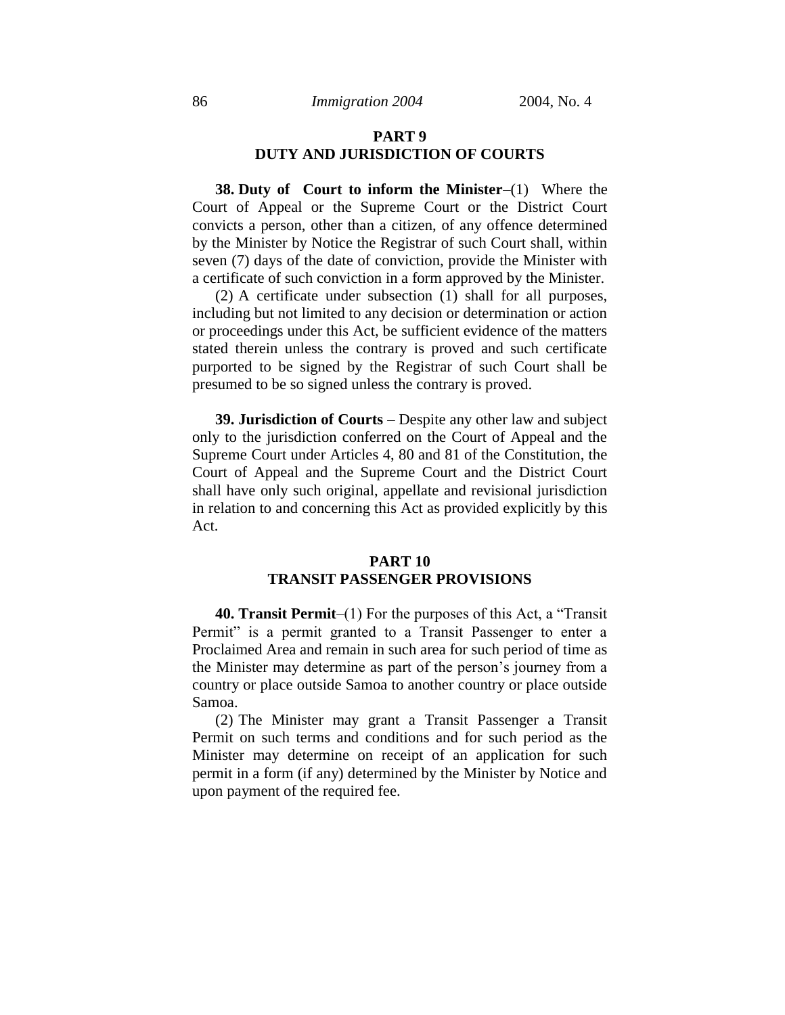# **PART 9 DUTY AND JURISDICTION OF COURTS**

**38. Duty of Court to inform the Minister**–(1) Where the Court of Appeal or the Supreme Court or the District Court convicts a person, other than a citizen, of any offence determined by the Minister by Notice the Registrar of such Court shall, within seven (7) days of the date of conviction, provide the Minister with a certificate of such conviction in a form approved by the Minister.

(2) A certificate under subsection (1) shall for all purposes, including but not limited to any decision or determination or action or proceedings under this Act, be sufficient evidence of the matters stated therein unless the contrary is proved and such certificate purported to be signed by the Registrar of such Court shall be presumed to be so signed unless the contrary is proved.

**39. Jurisdiction of Courts** – Despite any other law and subject only to the jurisdiction conferred on the Court of Appeal and the Supreme Court under Articles 4, 80 and 81 of the Constitution, the Court of Appeal and the Supreme Court and the District Court shall have only such original, appellate and revisional jurisdiction in relation to and concerning this Act as provided explicitly by this Act.

# **PART 10 TRANSIT PASSENGER PROVISIONS**

**40. Transit Permit**–(1) For the purposes of this Act, a "Transit Permit" is a permit granted to a Transit Passenger to enter a Proclaimed Area and remain in such area for such period of time as the Minister may determine as part of the person's journey from a country or place outside Samoa to another country or place outside Samoa.

(2) The Minister may grant a Transit Passenger a Transit Permit on such terms and conditions and for such period as the Minister may determine on receipt of an application for such permit in a form (if any) determined by the Minister by Notice and upon payment of the required fee.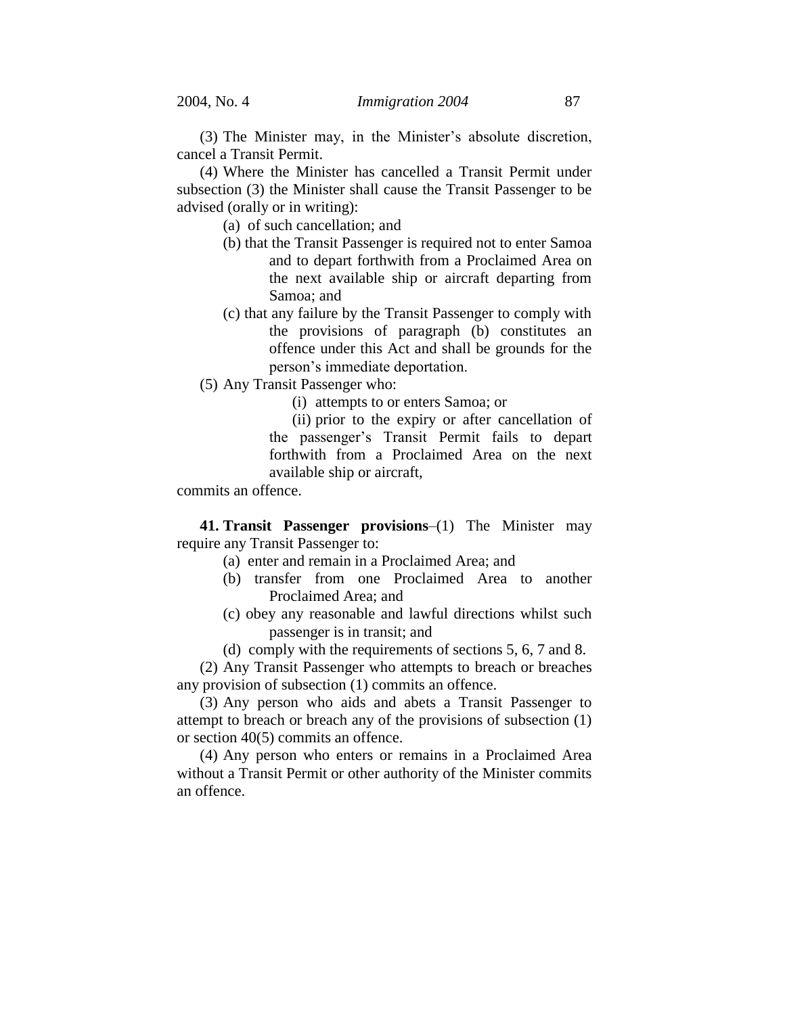(3) The Minister may, in the Minister's absolute discretion, cancel a Transit Permit.

(4) Where the Minister has cancelled a Transit Permit under subsection (3) the Minister shall cause the Transit Passenger to be advised (orally or in writing):

(a) of such cancellation; and

- (b) that the Transit Passenger is required not to enter Samoa and to depart forthwith from a Proclaimed Area on the next available ship or aircraft departing from Samoa; and
- (c) that any failure by the Transit Passenger to comply with the provisions of paragraph (b) constitutes an offence under this Act and shall be grounds for the person's immediate deportation.
- (5) Any Transit Passenger who:

(i) attempts to or enters Samoa; or

(ii) prior to the expiry or after cancellation of the passenger's Transit Permit fails to depart forthwith from a Proclaimed Area on the next available ship or aircraft,

commits an offence.

**41. Transit Passenger provisions**–(1) The Minister may require any Transit Passenger to:

- (a) enter and remain in a Proclaimed Area; and
- (b) transfer from one Proclaimed Area to another Proclaimed Area; and
- (c) obey any reasonable and lawful directions whilst such passenger is in transit; and
- (d) comply with the requirements of sections 5, 6, 7 and 8.

(2) Any Transit Passenger who attempts to breach or breaches any provision of subsection (1) commits an offence.

(3) Any person who aids and abets a Transit Passenger to attempt to breach or breach any of the provisions of subsection (1) or section 40(5) commits an offence.

(4) Any person who enters or remains in a Proclaimed Area without a Transit Permit or other authority of the Minister commits an offence.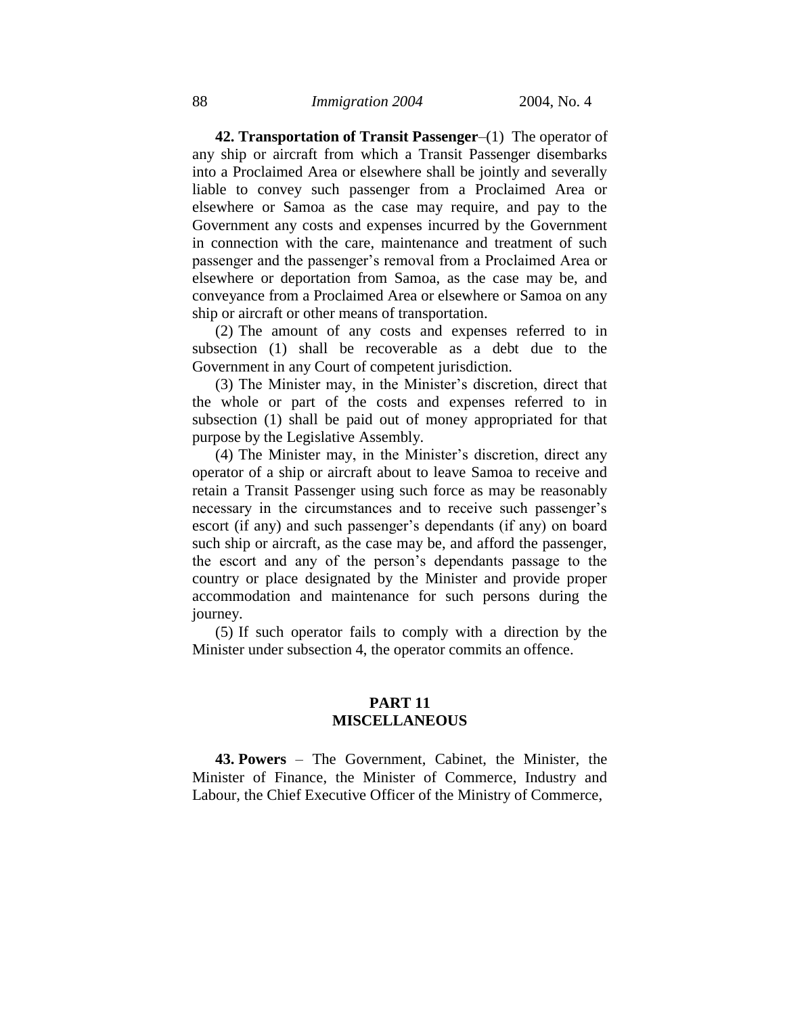**42. Transportation of Transit Passenger**–(1) The operator of any ship or aircraft from which a Transit Passenger disembarks into a Proclaimed Area or elsewhere shall be jointly and severally liable to convey such passenger from a Proclaimed Area or elsewhere or Samoa as the case may require, and pay to the Government any costs and expenses incurred by the Government in connection with the care, maintenance and treatment of such passenger and the passenger's removal from a Proclaimed Area or elsewhere or deportation from Samoa, as the case may be, and conveyance from a Proclaimed Area or elsewhere or Samoa on any ship or aircraft or other means of transportation.

(2) The amount of any costs and expenses referred to in subsection (1) shall be recoverable as a debt due to the Government in any Court of competent jurisdiction.

(3) The Minister may, in the Minister's discretion, direct that the whole or part of the costs and expenses referred to in subsection (1) shall be paid out of money appropriated for that purpose by the Legislative Assembly.

(4) The Minister may, in the Minister's discretion, direct any operator of a ship or aircraft about to leave Samoa to receive and retain a Transit Passenger using such force as may be reasonably necessary in the circumstances and to receive such passenger's escort (if any) and such passenger's dependants (if any) on board such ship or aircraft, as the case may be, and afford the passenger, the escort and any of the person's dependants passage to the country or place designated by the Minister and provide proper accommodation and maintenance for such persons during the journey.

(5) If such operator fails to comply with a direction by the Minister under subsection 4, the operator commits an offence.

# **PART 11 MISCELLANEOUS**

**43. Powers** – The Government, Cabinet, the Minister, the Minister of Finance, the Minister of Commerce, Industry and Labour, the Chief Executive Officer of the Ministry of Commerce,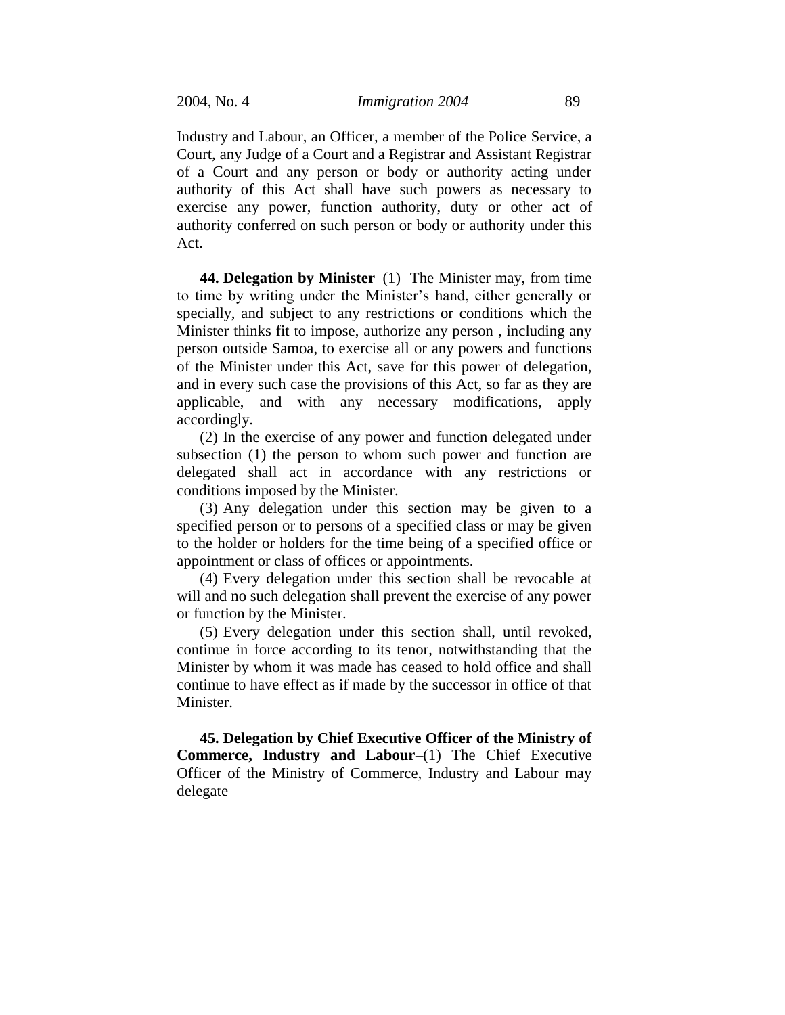Industry and Labour, an Officer, a member of the Police Service, a Court, any Judge of a Court and a Registrar and Assistant Registrar of a Court and any person or body or authority acting under authority of this Act shall have such powers as necessary to exercise any power, function authority, duty or other act of authority conferred on such person or body or authority under this Act.

**44. Delegation by Minister**–(1) The Minister may, from time to time by writing under the Minister's hand, either generally or specially, and subject to any restrictions or conditions which the Minister thinks fit to impose, authorize any person , including any person outside Samoa, to exercise all or any powers and functions of the Minister under this Act, save for this power of delegation, and in every such case the provisions of this Act, so far as they are applicable, and with any necessary modifications, apply accordingly.

(2) In the exercise of any power and function delegated under subsection (1) the person to whom such power and function are delegated shall act in accordance with any restrictions or conditions imposed by the Minister.

(3) Any delegation under this section may be given to a specified person or to persons of a specified class or may be given to the holder or holders for the time being of a specified office or appointment or class of offices or appointments.

(4) Every delegation under this section shall be revocable at will and no such delegation shall prevent the exercise of any power or function by the Minister.

(5) Every delegation under this section shall, until revoked, continue in force according to its tenor, notwithstanding that the Minister by whom it was made has ceased to hold office and shall continue to have effect as if made by the successor in office of that Minister.

**45. Delegation by Chief Executive Officer of the Ministry of Commerce, Industry and Labour**–(1) The Chief Executive Officer of the Ministry of Commerce, Industry and Labour may delegate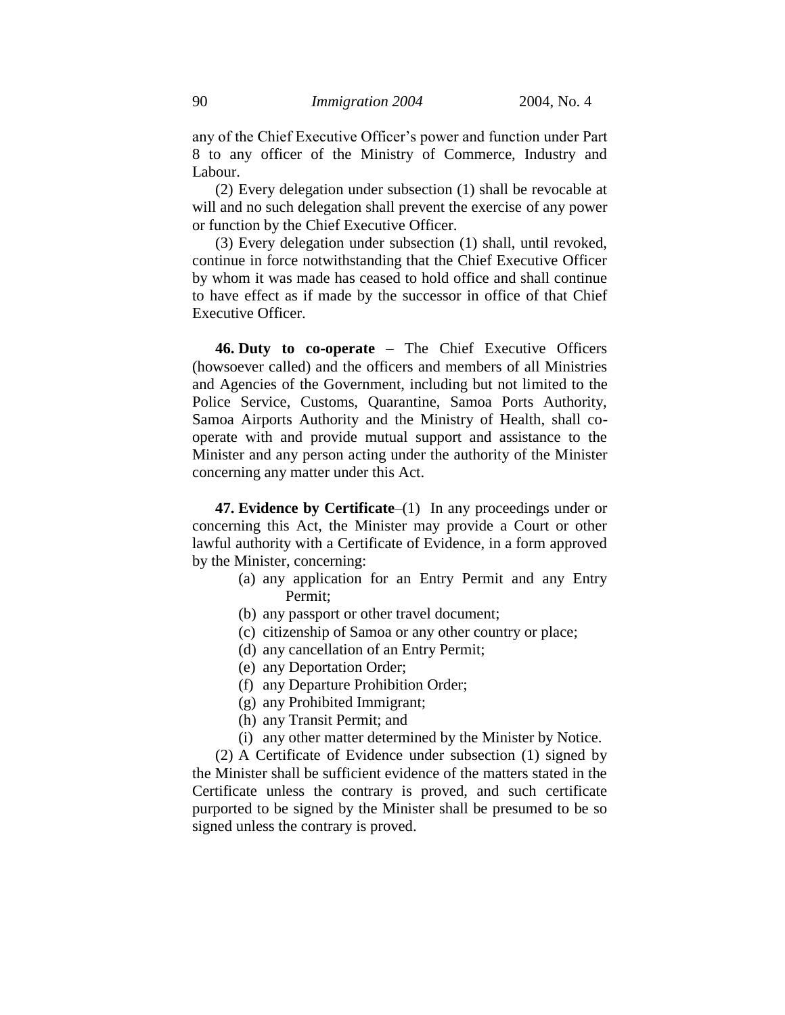any of the Chief Executive Officer's power and function under Part 8 to any officer of the Ministry of Commerce, Industry and Labour.

(2) Every delegation under subsection (1) shall be revocable at will and no such delegation shall prevent the exercise of any power or function by the Chief Executive Officer.

(3) Every delegation under subsection (1) shall, until revoked, continue in force notwithstanding that the Chief Executive Officer by whom it was made has ceased to hold office and shall continue to have effect as if made by the successor in office of that Chief Executive Officer.

**46. Duty to co-operate** – The Chief Executive Officers (howsoever called) and the officers and members of all Ministries and Agencies of the Government, including but not limited to the Police Service, Customs, Quarantine, Samoa Ports Authority, Samoa Airports Authority and the Ministry of Health, shall cooperate with and provide mutual support and assistance to the Minister and any person acting under the authority of the Minister concerning any matter under this Act.

**47. Evidence by Certificate**–(1) In any proceedings under or concerning this Act, the Minister may provide a Court or other lawful authority with a Certificate of Evidence, in a form approved by the Minister, concerning:

- (a) any application for an Entry Permit and any Entry Permit;
- (b) any passport or other travel document;
- (c) citizenship of Samoa or any other country or place;
- (d) any cancellation of an Entry Permit;
- (e) any Deportation Order;
- (f) any Departure Prohibition Order;
- (g) any Prohibited Immigrant;
- (h) any Transit Permit; and
- (i) any other matter determined by the Minister by Notice.

(2) A Certificate of Evidence under subsection (1) signed by the Minister shall be sufficient evidence of the matters stated in the Certificate unless the contrary is proved, and such certificate purported to be signed by the Minister shall be presumed to be so signed unless the contrary is proved.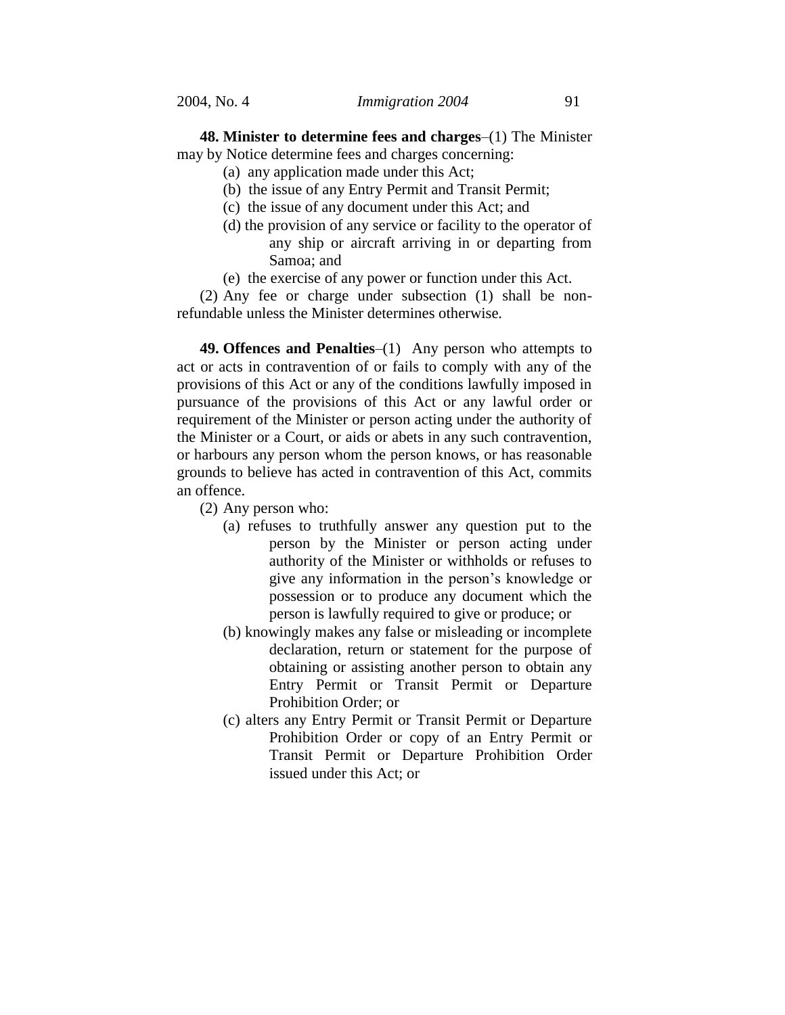**48. Minister to determine fees and charges**–(1) The Minister may by Notice determine fees and charges concerning:

- (a) any application made under this Act;
- (b) the issue of any Entry Permit and Transit Permit;
- (c) the issue of any document under this Act; and
- (d) the provision of any service or facility to the operator of any ship or aircraft arriving in or departing from Samoa; and
- (e) the exercise of any power or function under this Act.

(2) Any fee or charge under subsection (1) shall be nonrefundable unless the Minister determines otherwise.

**49. Offences and Penalties**–(1) Any person who attempts to act or acts in contravention of or fails to comply with any of the provisions of this Act or any of the conditions lawfully imposed in pursuance of the provisions of this Act or any lawful order or requirement of the Minister or person acting under the authority of the Minister or a Court, or aids or abets in any such contravention, or harbours any person whom the person knows, or has reasonable grounds to believe has acted in contravention of this Act, commits an offence.

- (2) Any person who:
	- (a) refuses to truthfully answer any question put to the person by the Minister or person acting under authority of the Minister or withholds or refuses to give any information in the person's knowledge or possession or to produce any document which the person is lawfully required to give or produce; or
	- (b) knowingly makes any false or misleading or incomplete declaration, return or statement for the purpose of obtaining or assisting another person to obtain any Entry Permit or Transit Permit or Departure Prohibition Order; or
	- (c) alters any Entry Permit or Transit Permit or Departure Prohibition Order or copy of an Entry Permit or Transit Permit or Departure Prohibition Order issued under this Act; or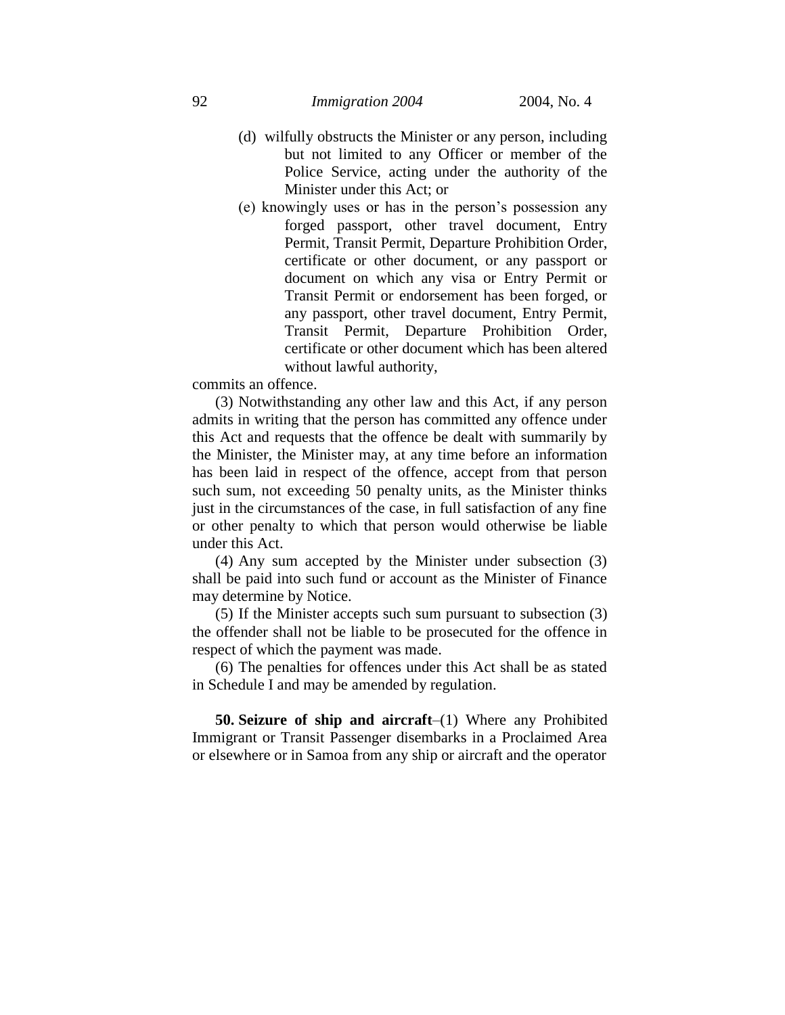- (d) wilfully obstructs the Minister or any person, including but not limited to any Officer or member of the Police Service, acting under the authority of the Minister under this Act; or
- (e) knowingly uses or has in the person's possession any forged passport, other travel document, Entry Permit, Transit Permit, Departure Prohibition Order, certificate or other document, or any passport or document on which any visa or Entry Permit or Transit Permit or endorsement has been forged, or any passport, other travel document, Entry Permit, Transit Permit, Departure Prohibition Order, certificate or other document which has been altered without lawful authority,

commits an offence.

(3) Notwithstanding any other law and this Act, if any person admits in writing that the person has committed any offence under this Act and requests that the offence be dealt with summarily by the Minister, the Minister may, at any time before an information has been laid in respect of the offence, accept from that person such sum, not exceeding 50 penalty units, as the Minister thinks just in the circumstances of the case, in full satisfaction of any fine or other penalty to which that person would otherwise be liable under this Act.

(4) Any sum accepted by the Minister under subsection (3) shall be paid into such fund or account as the Minister of Finance may determine by Notice.

(5) If the Minister accepts such sum pursuant to subsection (3) the offender shall not be liable to be prosecuted for the offence in respect of which the payment was made.

(6) The penalties for offences under this Act shall be as stated in Schedule I and may be amended by regulation.

**50. Seizure of ship and aircraft**–(1) Where any Prohibited Immigrant or Transit Passenger disembarks in a Proclaimed Area or elsewhere or in Samoa from any ship or aircraft and the operator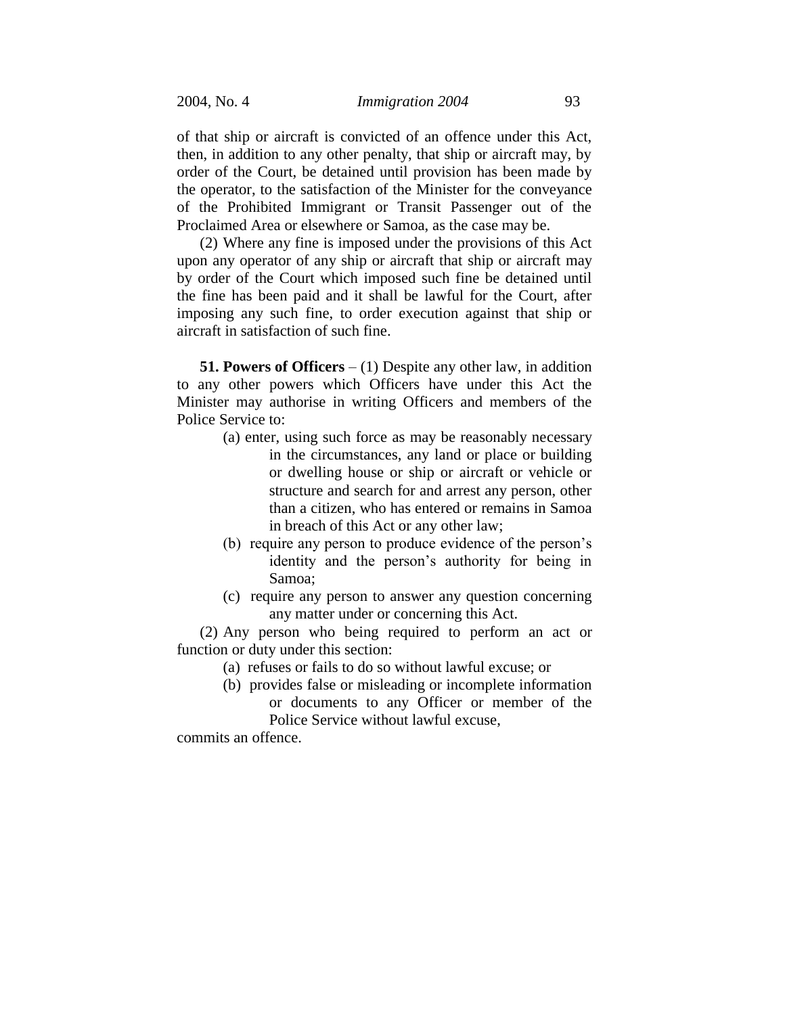of that ship or aircraft is convicted of an offence under this Act, then, in addition to any other penalty, that ship or aircraft may, by order of the Court, be detained until provision has been made by the operator, to the satisfaction of the Minister for the conveyance of the Prohibited Immigrant or Transit Passenger out of the Proclaimed Area or elsewhere or Samoa, as the case may be.

(2) Where any fine is imposed under the provisions of this Act upon any operator of any ship or aircraft that ship or aircraft may by order of the Court which imposed such fine be detained until the fine has been paid and it shall be lawful for the Court, after imposing any such fine, to order execution against that ship or aircraft in satisfaction of such fine.

**51. Powers of Officers** – (1) Despite any other law, in addition to any other powers which Officers have under this Act the Minister may authorise in writing Officers and members of the Police Service to:

- (a) enter, using such force as may be reasonably necessary in the circumstances, any land or place or building or dwelling house or ship or aircraft or vehicle or structure and search for and arrest any person, other than a citizen, who has entered or remains in Samoa in breach of this Act or any other law;
- (b) require any person to produce evidence of the person's identity and the person's authority for being in Samoa;
- (c) require any person to answer any question concerning any matter under or concerning this Act.

(2) Any person who being required to perform an act or function or duty under this section:

- (a) refuses or fails to do so without lawful excuse; or
- (b) provides false or misleading or incomplete information or documents to any Officer or member of the Police Service without lawful excuse,

commits an offence.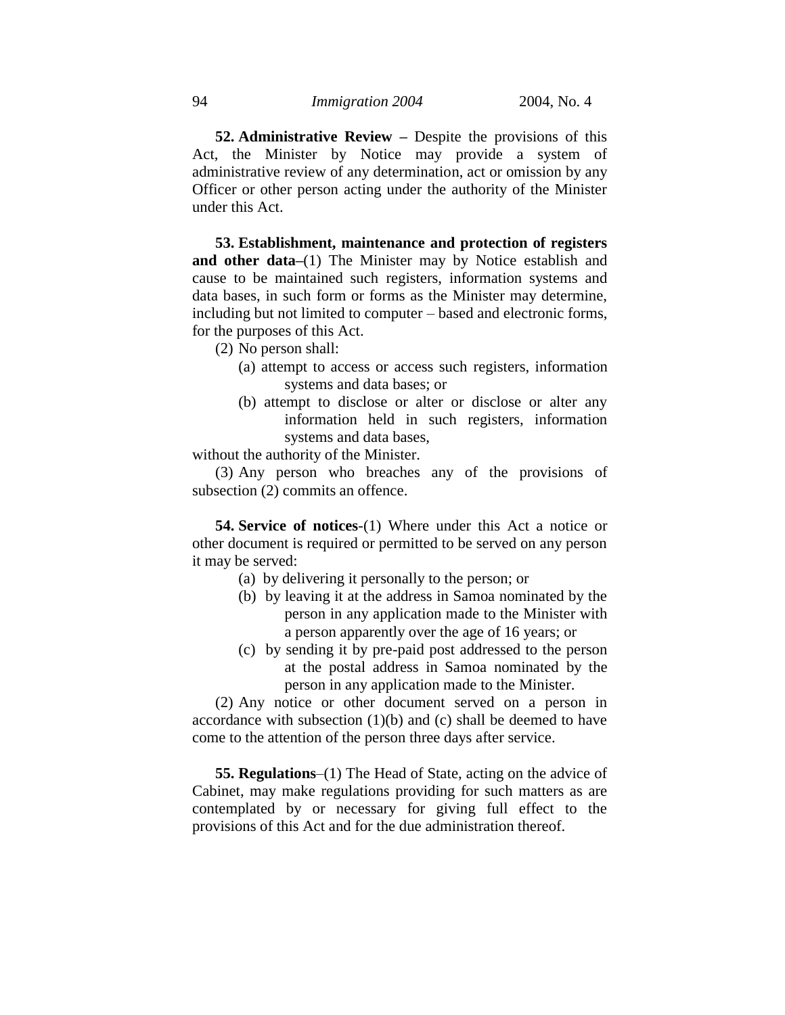**52. Administrative Review –** Despite the provisions of this Act, the Minister by Notice may provide a system of administrative review of any determination, act or omission by any Officer or other person acting under the authority of the Minister under this Act.

**53. Establishment, maintenance and protection of registers and other data–**(1) The Minister may by Notice establish and cause to be maintained such registers, information systems and data bases, in such form or forms as the Minister may determine, including but not limited to computer – based and electronic forms, for the purposes of this Act.

- (2) No person shall:
	- (a) attempt to access or access such registers, information systems and data bases; or
	- (b) attempt to disclose or alter or disclose or alter any information held in such registers, information systems and data bases,

without the authority of the Minister.

(3) Any person who breaches any of the provisions of subsection (2) commits an offence.

**54. Service of notices**-(1) Where under this Act a notice or other document is required or permitted to be served on any person it may be served:

- (a) by delivering it personally to the person; or
- (b) by leaving it at the address in Samoa nominated by the person in any application made to the Minister with a person apparently over the age of 16 years; or
- (c) by sending it by pre-paid post addressed to the person at the postal address in Samoa nominated by the person in any application made to the Minister.

(2) Any notice or other document served on a person in accordance with subsection (1)(b) and (c) shall be deemed to have come to the attention of the person three days after service.

**55. Regulations**–(1) The Head of State, acting on the advice of Cabinet, may make regulations providing for such matters as are contemplated by or necessary for giving full effect to the provisions of this Act and for the due administration thereof.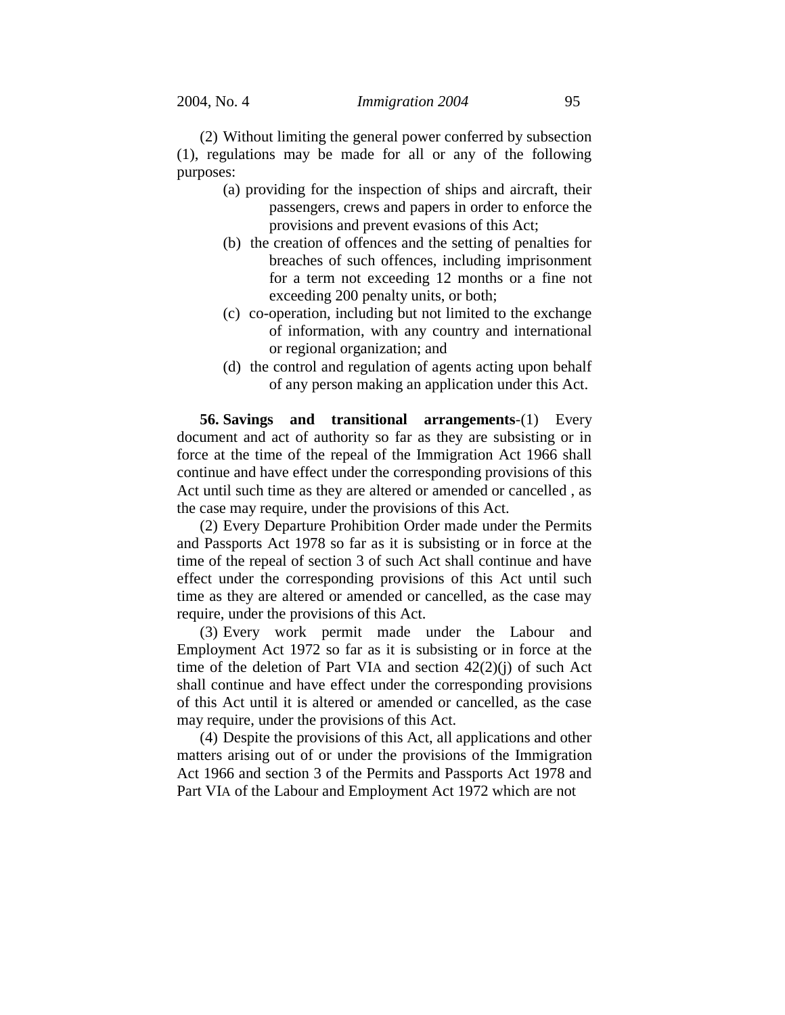(2) Without limiting the general power conferred by subsection (1), regulations may be made for all or any of the following purposes:

- (a) providing for the inspection of ships and aircraft, their passengers, crews and papers in order to enforce the provisions and prevent evasions of this Act;
- (b) the creation of offences and the setting of penalties for breaches of such offences, including imprisonment for a term not exceeding 12 months or a fine not exceeding 200 penalty units, or both;
- (c) co-operation, including but not limited to the exchange of information, with any country and international or regional organization; and
- (d) the control and regulation of agents acting upon behalf of any person making an application under this Act.

**56. Savings and transitional arrangements**-(1) Every document and act of authority so far as they are subsisting or in force at the time of the repeal of the Immigration Act 1966 shall continue and have effect under the corresponding provisions of this Act until such time as they are altered or amended or cancelled , as the case may require, under the provisions of this Act.

(2) Every Departure Prohibition Order made under the Permits and Passports Act 1978 so far as it is subsisting or in force at the time of the repeal of section 3 of such Act shall continue and have effect under the corresponding provisions of this Act until such time as they are altered or amended or cancelled, as the case may require, under the provisions of this Act.

(3) Every work permit made under the Labour and Employment Act 1972 so far as it is subsisting or in force at the time of the deletion of Part VIA and section 42(2)(j) of such Act shall continue and have effect under the corresponding provisions of this Act until it is altered or amended or cancelled, as the case may require, under the provisions of this Act.

(4) Despite the provisions of this Act, all applications and other matters arising out of or under the provisions of the Immigration Act 1966 and section 3 of the Permits and Passports Act 1978 and Part VIA of the Labour and Employment Act 1972 which are not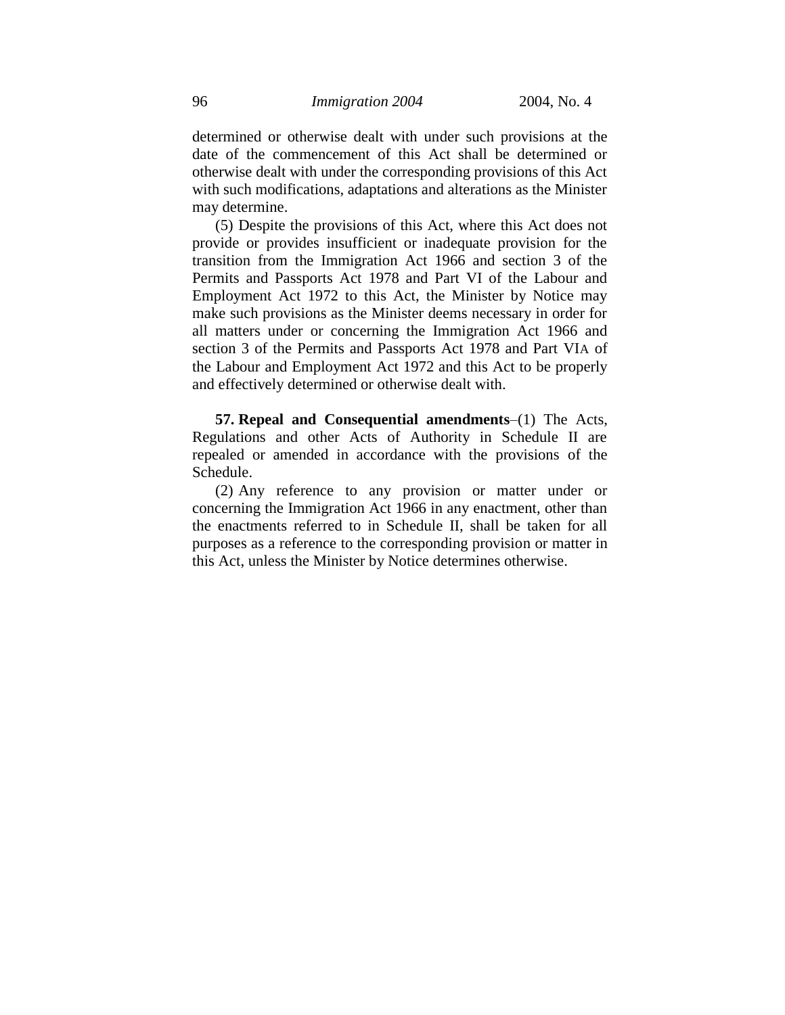determined or otherwise dealt with under such provisions at the date of the commencement of this Act shall be determined or otherwise dealt with under the corresponding provisions of this Act with such modifications, adaptations and alterations as the Minister may determine.

(5) Despite the provisions of this Act, where this Act does not provide or provides insufficient or inadequate provision for the transition from the Immigration Act 1966 and section 3 of the Permits and Passports Act 1978 and Part VI of the Labour and Employment Act 1972 to this Act, the Minister by Notice may make such provisions as the Minister deems necessary in order for all matters under or concerning the Immigration Act 1966 and section 3 of the Permits and Passports Act 1978 and Part VIA of the Labour and Employment Act 1972 and this Act to be properly and effectively determined or otherwise dealt with.

**57. Repeal and Consequential amendments**–(1) The Acts, Regulations and other Acts of Authority in Schedule II are repealed or amended in accordance with the provisions of the Schedule.

(2) Any reference to any provision or matter under or concerning the Immigration Act 1966 in any enactment, other than the enactments referred to in Schedule II, shall be taken for all purposes as a reference to the corresponding provision or matter in this Act, unless the Minister by Notice determines otherwise.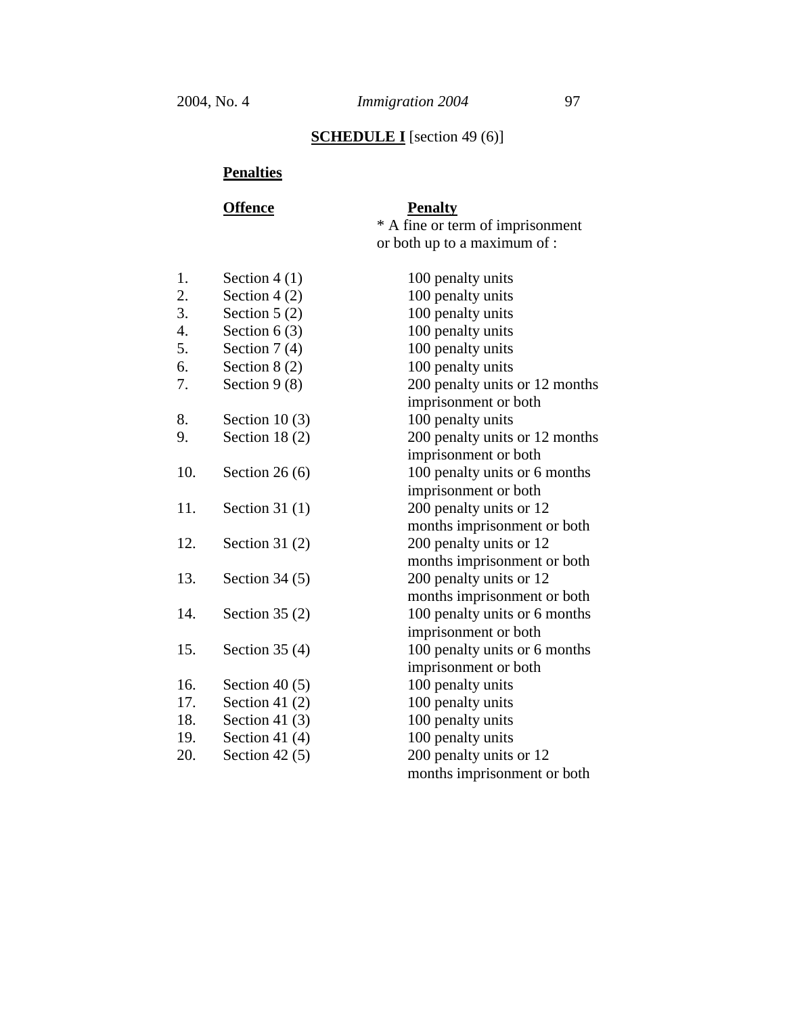# **SCHEDULE I** [section 49 (6)]

# **Penalties**

| <b>Offence</b> | <b>Penalty</b>                   |
|----------------|----------------------------------|
|                | * A fine or term of imprisonment |
|                | or both up to a maximum of :     |

| 1.  | Section $4(1)$   | 100 penalty units              |
|-----|------------------|--------------------------------|
| 2.  | Section $4(2)$   | 100 penalty units              |
| 3.  | Section $5(2)$   | 100 penalty units              |
| 4.  | Section $6(3)$   | 100 penalty units              |
| 5.  | Section $7(4)$   | 100 penalty units              |
| 6.  | Section $8(2)$   | 100 penalty units              |
| 7.  | Section $9(8)$   | 200 penalty units or 12 months |
|     |                  | imprisonment or both           |
| 8.  | Section 10 $(3)$ | 100 penalty units              |
| 9.  | Section 18 $(2)$ | 200 penalty units or 12 months |
|     |                  | imprisonment or both           |
| 10. | Section 26 $(6)$ | 100 penalty units or 6 months  |
|     |                  | imprisonment or both           |
| 11. | Section 31 $(1)$ | 200 penalty units or 12        |
|     |                  | months imprisonment or both    |
| 12. | Section 31 $(2)$ | 200 penalty units or 12        |
|     |                  | months imprisonment or both    |
| 13. | Section $34(5)$  | 200 penalty units or 12        |
|     |                  | months imprisonment or both    |
| 14. | Section 35 $(2)$ | 100 penalty units or 6 months  |
|     |                  | imprisonment or both           |
| 15. | Section $35(4)$  | 100 penalty units or 6 months  |
|     |                  | imprisonment or both           |
| 16. | Section 40 $(5)$ | 100 penalty units              |
| 17. | Section 41 $(2)$ | 100 penalty units              |
| 18. | Section 41 $(3)$ | 100 penalty units              |
| 19. | Section 41 $(4)$ | 100 penalty units              |
| 20. | Section 42 $(5)$ | 200 penalty units or 12        |
|     |                  | months imprisonment or both    |